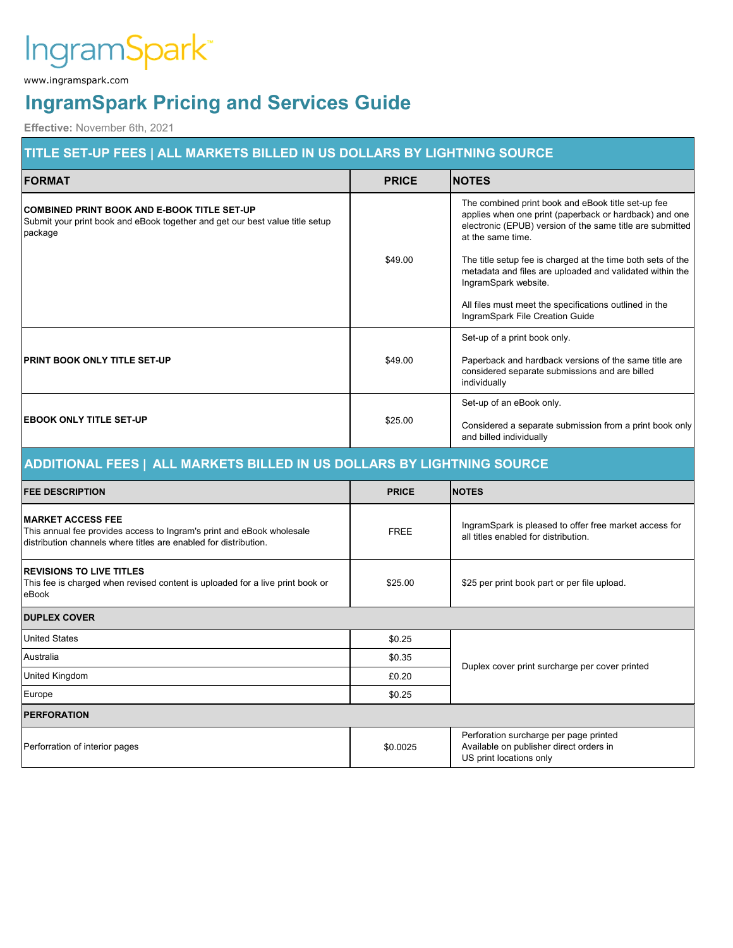# IngramSpark<sup>®</sup>

www.ingramspark.com

# **IngramSpark Pricing and Services Guide**

**Effective:** November 6th, 2021

# **TITLE SET-UP FEES | ALL MARKETS BILLED IN US DOLLARS BY LIGHTNING SOURCE**

| <b>FORMAT</b>                                                                                                                          | <b>PRICE</b> | <b>NOTES</b>                                                                                                                                                                                                                                                  |  |
|----------------------------------------------------------------------------------------------------------------------------------------|--------------|---------------------------------------------------------------------------------------------------------------------------------------------------------------------------------------------------------------------------------------------------------------|--|
| COMBINED PRINT BOOK AND E-BOOK TITLE SET-UP<br>Submit your print book and eBook together and get our best value title setup<br>package | \$49.00      | The combined print book and eBook title set-up fee<br>applies when one print (paperback or hardback) and one<br>electronic (EPUB) version of the same title are submitted<br>at the same time.<br>The title setup fee is charged at the time both sets of the |  |
|                                                                                                                                        |              | metadata and files are uploaded and validated within the<br>IngramSpark website.                                                                                                                                                                              |  |
|                                                                                                                                        |              | All files must meet the specifications outlined in the<br>IngramSpark File Creation Guide                                                                                                                                                                     |  |
|                                                                                                                                        |              | Set-up of a print book only.                                                                                                                                                                                                                                  |  |
| <b>PRINT BOOK ONLY TITLE SET-UP</b>                                                                                                    | \$49.00      | Paperback and hardback versions of the same title are<br>considered separate submissions and are billed<br>individually                                                                                                                                       |  |
|                                                                                                                                        |              | Set-up of an eBook only.                                                                                                                                                                                                                                      |  |
| <b>EBOOK ONLY TITLE SET-UP</b>                                                                                                         | \$25.00      | Considered a separate submission from a print book only<br>and billed individually                                                                                                                                                                            |  |

# **ADDITIONAL FEES | ALL MARKETS BILLED IN US DOLLARS BY LIGHTNING SOURCE**

| <b>FEE DESCRIPTION</b>                                                                                                                                                | <b>PRICE</b> | <b>NOTES</b>                                                                                                 |
|-----------------------------------------------------------------------------------------------------------------------------------------------------------------------|--------------|--------------------------------------------------------------------------------------------------------------|
| <b>MARKET ACCESS FEE</b><br>This annual fee provides access to Ingram's print and eBook wholesale<br>distribution channels where titles are enabled for distribution. | <b>FREE</b>  | IngramSpark is pleased to offer free market access for<br>all titles enabled for distribution.               |
| <b>REVISIONS TO LIVE TITLES</b><br>This fee is charged when revised content is uploaded for a live print book or<br>eBook                                             | \$25.00      | \$25 per print book part or per file upload.                                                                 |
| <b>DUPLEX COVER</b>                                                                                                                                                   |              |                                                                                                              |
| <b>United States</b>                                                                                                                                                  | \$0.25       |                                                                                                              |
| Australia                                                                                                                                                             | \$0.35       |                                                                                                              |
| <b>United Kingdom</b>                                                                                                                                                 | £0.20        | Duplex cover print surcharge per cover printed                                                               |
| Europe                                                                                                                                                                | \$0.25       |                                                                                                              |
| <b>PERFORATION</b>                                                                                                                                                    |              |                                                                                                              |
| Perforration of interior pages                                                                                                                                        | \$0.0025     | Perforation surcharge per page printed<br>Available on publisher direct orders in<br>US print locations only |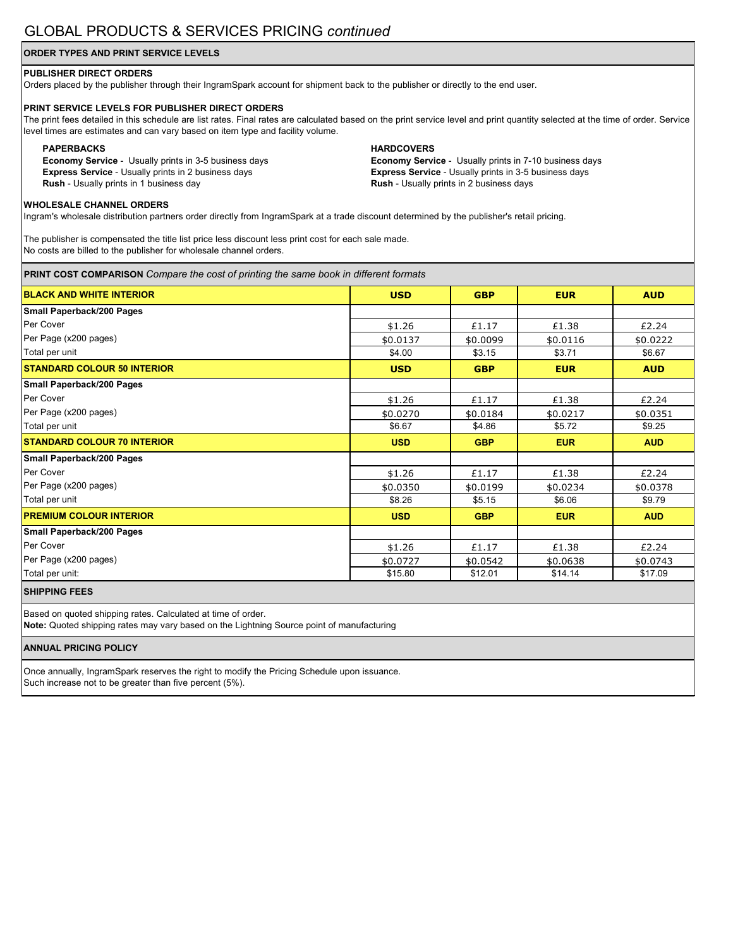#### **ORDER TYPES AND PRINT SERVICE LEVELS**

#### **PUBLISHER DIRECT ORDERS**

Orders placed by the publisher through their IngramSpark account for shipment back to the publisher or directly to the end user.

#### **PRINT SERVICE LEVELS FOR PUBLISHER DIRECT ORDERS**

The print fees detailed in this schedule are list rates. Final rates are calculated based on the print service level and print quantity selected at the time of order. Service level times are estimates and can vary based on item type and facility volume.

#### **PAPERBACKS**

**Economy Service** - Usually prints in 3-5 business days **Express Service** - Usually prints in 2 business days **Rush** - Usually prints in 1 business day

#### **HARDCOVERS**

**Economy Service** - Usually prints in 7-10 business days **Express Service** - Usually prints in 3-5 business days **Rush** - Usually prints in 2 business days

#### **WHOLESALE CHANNEL ORDERS**

Ingram's wholesale distribution partners order directly from IngramSpark at a trade discount determined by the publisher's retail pricing.

The publisher is compensated the title list price less discount less print cost for each sale made. No costs are billed to the publisher for wholesale channel orders.

**PRINT COST COMPARISON** *Compare the cost of printing the same book in different formats*

| <b>BLACK AND WHITE INTERIOR</b>                                                                                                                           | <b>USD</b> | <b>GBP</b> | <b>EUR</b> | <b>AUD</b> |
|-----------------------------------------------------------------------------------------------------------------------------------------------------------|------------|------------|------------|------------|
| <b>Small Paperback/200 Pages</b>                                                                                                                          |            |            |            |            |
| Per Cover                                                                                                                                                 | \$1.26     | £1.17      | £1.38      | £2.24      |
| Per Page (x200 pages)                                                                                                                                     | \$0.0137   | \$0.0099   | \$0.0116   | \$0.0222   |
| Total per unit                                                                                                                                            | \$4.00     | \$3.15     | \$3.71     | \$6.67     |
| <b>STANDARD COLOUR 50 INTERIOR</b>                                                                                                                        | <b>USD</b> | <b>GBP</b> | <b>EUR</b> | <b>AUD</b> |
| <b>Small Paperback/200 Pages</b>                                                                                                                          |            |            |            |            |
| Per Cover                                                                                                                                                 | \$1.26     | £1.17      | £1.38      | £2.24      |
| Per Page (x200 pages)                                                                                                                                     | \$0.0270   | \$0.0184   | \$0.0217   | \$0.0351   |
| Total per unit                                                                                                                                            | \$6.67     | \$4.86     | \$5.72     | \$9.25     |
| <b>STANDARD COLOUR 70 INTERIOR</b>                                                                                                                        | <b>USD</b> | <b>GBP</b> | <b>EUR</b> | <b>AUD</b> |
| <b>Small Paperback/200 Pages</b>                                                                                                                          |            |            |            |            |
| Per Cover                                                                                                                                                 | \$1.26     | £1.17      | £1.38      | £2.24      |
| Per Page (x200 pages)                                                                                                                                     | \$0.0350   | \$0.0199   | \$0.0234   | \$0.0378   |
| Total per unit                                                                                                                                            | \$8.26     | \$5.15     | \$6.06     | \$9.79     |
| <b>PREMIUM COLOUR INTERIOR</b>                                                                                                                            | <b>USD</b> | <b>GBP</b> | <b>EUR</b> | <b>AUD</b> |
| Small Paperback/200 Pages                                                                                                                                 |            |            |            |            |
| Per Cover                                                                                                                                                 | \$1.26     | £1.17      | £1.38      | £2.24      |
| Per Page (x200 pages)                                                                                                                                     | \$0.0727   | \$0.0542   | \$0.0638   | \$0.0743   |
| Total per unit:                                                                                                                                           | \$15.80    | \$12.01    | \$14.14    | \$17.09    |
| <b>SHIPPING FEES</b>                                                                                                                                      |            |            |            |            |
| Based on quoted shipping rates. Calculated at time of order.<br>Note: Quoted shipping rates may vary based on the Lightning Source point of manufacturing |            |            |            |            |

**ANNUAL PRICING POLICY**

Once annually, IngramSpark reserves the right to modify the Pricing Schedule upon issuance. Such increase not to be greater than five percent (5%).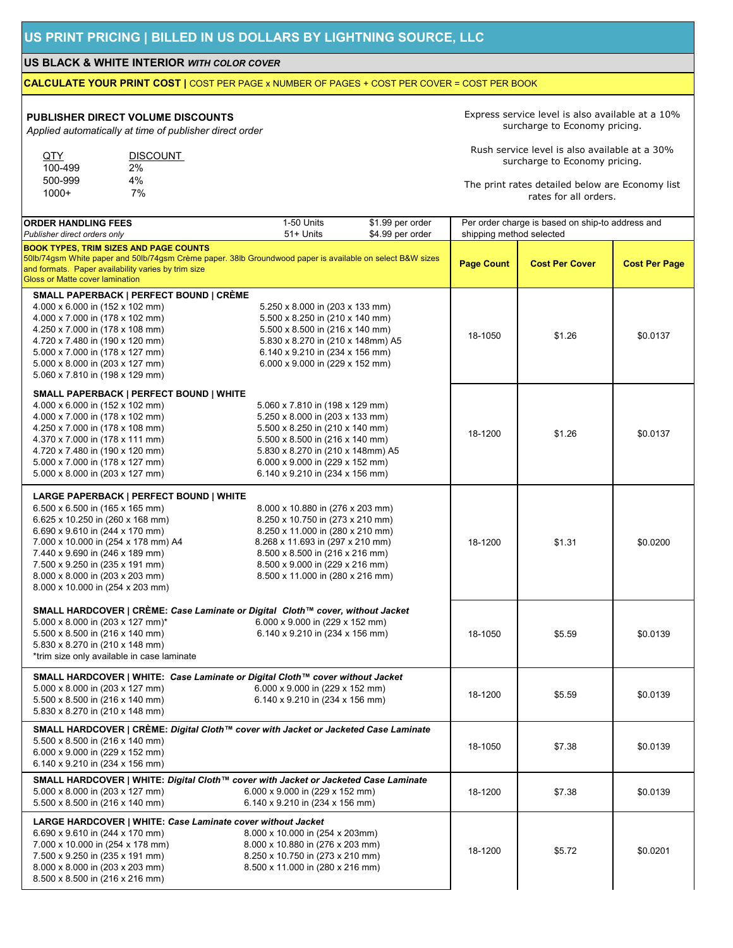#### **US BLACK & WHITE INTERIOR** *WITH COLOR COVER*

|                                                                                                                                                                                                                                                     |                                                                                              | <b> CALCULATE YOUR PRINT COST  </b> COST PER PAGE x NUMBER OF PAGES + COST PER COVER = COST PER BOOK                                                                                                                                                   |                                      |                          |                                                                                   |                      |
|-----------------------------------------------------------------------------------------------------------------------------------------------------------------------------------------------------------------------------------------------------|----------------------------------------------------------------------------------------------|--------------------------------------------------------------------------------------------------------------------------------------------------------------------------------------------------------------------------------------------------------|--------------------------------------|--------------------------|-----------------------------------------------------------------------------------|----------------------|
|                                                                                                                                                                                                                                                     | PUBLISHER DIRECT VOLUME DISCOUNTS<br>Applied automatically at time of publisher direct order |                                                                                                                                                                                                                                                        |                                      |                          | Express service level is also available at a 10%<br>surcharge to Economy pricing. |                      |
| QTY<br>100-499                                                                                                                                                                                                                                      | <b>DISCOUNT</b><br>2%                                                                        |                                                                                                                                                                                                                                                        |                                      |                          | Rush service level is also available at a 30%<br>surcharge to Economy pricing.    |                      |
| 500-999<br>$1000+$                                                                                                                                                                                                                                  | 4%<br>7%                                                                                     |                                                                                                                                                                                                                                                        |                                      |                          | The print rates detailed below are Economy list<br>rates for all orders.          |                      |
| <b>ORDER HANDLING FEES</b><br>Publisher direct orders only                                                                                                                                                                                          |                                                                                              | 1-50 Units<br>51+ Units                                                                                                                                                                                                                                | \$1.99 per order<br>\$4.99 per order | shipping method selected | Per order charge is based on ship-to address and                                  |                      |
|                                                                                                                                                                                                                                                     | <b>BOOK TYPES, TRIM SIZES AND PAGE COUNTS</b>                                                |                                                                                                                                                                                                                                                        |                                      |                          |                                                                                   |                      |
| <b>Gloss or Matte cover lamination</b>                                                                                                                                                                                                              | and formats. Paper availability varies by trim size                                          | 50lb/74gsm White paper and 50lb/74gsm Crème paper. 38lb Groundwood paper is available on select B&W sizes                                                                                                                                              |                                      | <b>Page Count</b>        | <b>Cost Per Cover</b>                                                             | <b>Cost Per Page</b> |
| 4.000 x 6.000 in (152 x 102 mm)<br>4.000 x 7.000 in (178 x 102 mm)<br>4.250 x 7.000 in (178 x 108 mm)<br>4.720 x 7.480 in (190 x 120 mm)<br>5.000 x 7.000 in (178 x 127 mm)<br>5.000 x 8.000 in (203 x 127 mm)<br>5.060 x 7.810 in (198 x 129 mm)   | SMALL PAPERBACK   PERFECT BOUND   CRÈME                                                      | 5.250 x 8.000 in (203 x 133 mm)<br>5.500 x 8.250 in (210 x 140 mm)<br>5.500 x 8.500 in (216 x 140 mm)<br>5.830 x 8.270 in (210 x 148mm) A5<br>6.140 x 9.210 in (234 x 156 mm)<br>6.000 x 9.000 in (229 x 152 mm)                                       |                                      | 18-1050                  | \$1.26                                                                            | \$0.0137             |
| 4.000 x 6.000 in (152 x 102 mm)<br>4.000 x 7.000 in (178 x 102 mm)<br>4.250 x 7.000 in (178 x 108 mm)<br>4.370 x 7.000 in (178 x 111 mm)<br>4.720 x 7.480 in (190 x 120 mm)<br>5.000 x 7.000 in (178 x 127 mm)<br>5.000 x 8.000 in (203 x 127 mm)   | SMALL PAPERBACK   PERFECT BOUND   WHITE                                                      | 5.060 x 7.810 in (198 x 129 mm)<br>5.250 x 8.000 in (203 x 133 mm)<br>5.500 x 8.250 in (210 x 140 mm)<br>5.500 x 8.500 in (216 x 140 mm)<br>5.830 x 8.270 in (210 x 148mm) A5<br>6.000 x 9.000 in (229 x 152 mm)<br>6.140 x 9.210 in (234 x 156 mm)    |                                      | 18-1200                  | \$1.26                                                                            | \$0.0137             |
| 6.500 x 6.500 in (165 x 165 mm)<br>6.625 x 10.250 in (260 x 168 mm)<br>6.690 x 9.610 in (244 x 170 mm)<br>7.440 x 9.690 in (246 x 189 mm)<br>7.500 x 9.250 in (235 x 191 mm)<br>8.000 x 8.000 in (203 x 203 mm)<br>8.000 x 10.000 in (254 x 203 mm) | LARGE PAPERBACK   PERFECT BOUND   WHITE<br>7.000 x 10.000 in (254 x 178 mm) A4               | 8.000 x 10.880 in (276 x 203 mm)<br>8.250 x 10.750 in (273 x 210 mm)<br>8.250 x 11.000 in (280 x 210 mm)<br>8.268 x 11.693 in (297 x 210 mm)<br>8.500 x 8.500 in (216 x 216 mm)<br>8.500 x 9.000 in (229 x 216 mm)<br>8.500 x 11.000 in (280 x 216 mm) |                                      | 18-1200                  | \$1.31                                                                            | \$0.0200             |
| 5.000 x 8.000 in (203 x 127 mm)*<br>5.500 x 8.500 in (216 x 140 mm)<br>5.830 x 8.270 in (210 x 148 mm)                                                                                                                                              | *trim size only available in case laminate                                                   | SMALL HARDCOVER   CRÈME: Case Laminate or Digital Cloth™ cover, without Jacket<br>6.000 x 9.000 in (229 x 152 mm)<br>6.140 x 9.210 in (234 x 156 mm)                                                                                                   |                                      | 18-1050                  | \$5.59                                                                            | \$0.0139             |

| unn size only available in case laminate                                                                                                                                     |                                                                                                                                                                                                            |         |        |          |
|------------------------------------------------------------------------------------------------------------------------------------------------------------------------------|------------------------------------------------------------------------------------------------------------------------------------------------------------------------------------------------------------|---------|--------|----------|
| 5.000 x 8.000 in (203 x 127 mm)<br>5.500 x 8.500 in (216 x 140 mm)<br>5.830 x 8.270 in (210 x 148 mm)                                                                        | SMALL HARDCOVER   WHITE: Case Laminate or Digital Cloth™ cover without Jacket<br>6.000 x 9.000 in (229 x 152 mm)<br>6.140 x 9.210 in (234 x 156 mm)                                                        | 18-1200 | \$5.59 | \$0.0139 |
| 5.500 x 8.500 in (216 x 140 mm)<br>6.000 x 9.000 in (229 x 152 mm)<br>6.140 x 9.210 in (234 x 156 mm)                                                                        | SMALL HARDCOVER   CRÈME: Digital Cloth™ cover with Jacket or Jacketed Case Laminate                                                                                                                        | 18-1050 | \$7.38 | \$0.0139 |
| 5.000 x 8.000 in (203 x 127 mm)<br>5.500 x 8.500 in (216 x 140 mm)                                                                                                           | SMALL HARDCOVER   WHITE: Digital Cloth™ cover with Jacket or Jacketed Case Laminate<br>$6.000 \times 9.000$ in (229 x 152 mm)<br>6.140 x 9.210 in (234 x 156 mm)                                           | 18-1200 | \$7.38 | \$0.0139 |
| 6.690 x 9.610 in (244 x 170 mm)<br>7.000 x 10.000 in (254 x 178 mm)<br>7.500 x 9.250 in (235 x 191 mm)<br>8.000 x 8.000 in (203 x 203 mm)<br>8.500 x 8.500 in (216 x 216 mm) | LARGE HARDCOVER   WHITE: Case Laminate cover without Jacket<br>8.000 x 10.000 in (254 x 203mm)<br>8.000 x 10.880 in (276 x 203 mm)<br>8.250 x 10.750 in (273 x 210 mm)<br>8.500 x 11.000 in (280 x 216 mm) | 18-1200 | \$5.72 | \$0.0201 |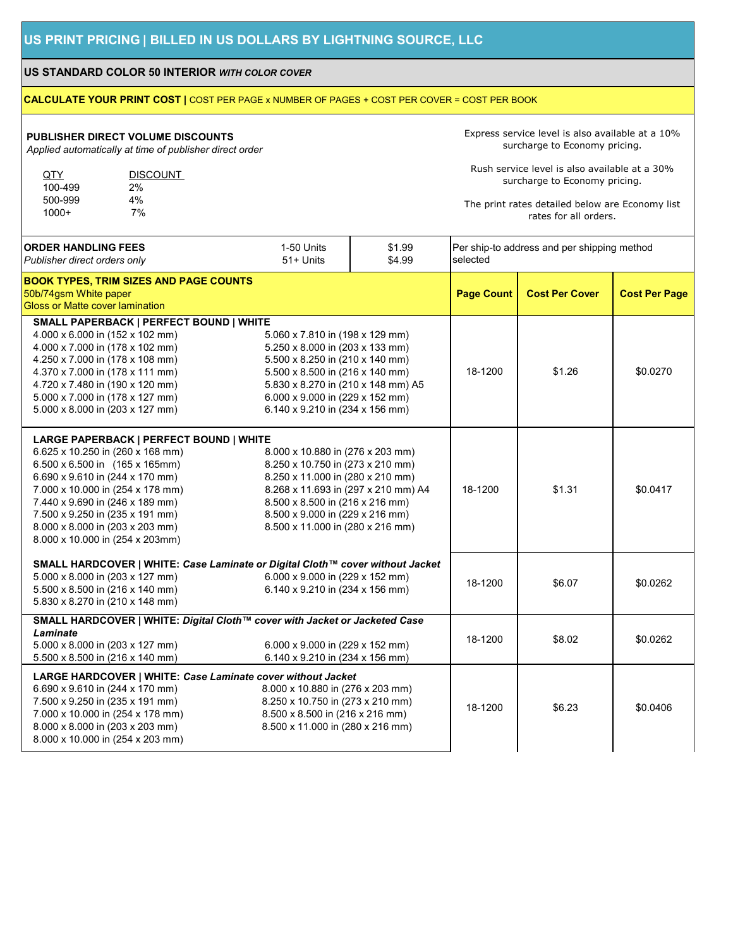#### **US STANDARD COLOR 50 INTERIOR** *WITH COLOR COVER*

#### **CALCULATE YOUR PRINT COST |** COST PER PAGE x NUMBER OF PAGES + COST PER COVER = COST PER BOOK

#### **PUBLISHER DIRECT VOLUME DISCOUNTS** *Applied automatically at time of publisher direct order*

QTY DISCOUNT<br>100-499 2%

 100-499 2% 500-999 4%

 $1000+$ 

Express service level is also available at a 10% surcharge to Economy pricing.

Rush service level is also available at a 30% surcharge to Economy pricing.

| <b>ORDER HANDLING FEES</b><br>Publisher direct orders only                                                                                                                                                                                                                                                                                      | 1-50 Units<br>\$1.99<br>51+ Units<br>\$4.99                                                                                                                                                                                                               |  | selected          | Per ship-to address and per shipping method |                      |
|-------------------------------------------------------------------------------------------------------------------------------------------------------------------------------------------------------------------------------------------------------------------------------------------------------------------------------------------------|-----------------------------------------------------------------------------------------------------------------------------------------------------------------------------------------------------------------------------------------------------------|--|-------------------|---------------------------------------------|----------------------|
| <b>BOOK TYPES, TRIM SIZES AND PAGE COUNTS</b><br>50b/74gsm White paper<br><b>Gloss or Matte cover lamination</b>                                                                                                                                                                                                                                |                                                                                                                                                                                                                                                           |  | <b>Page Count</b> | <b>Cost Per Cover</b>                       | <b>Cost Per Page</b> |
| SMALL PAPERBACK   PERFECT BOUND   WHITE<br>4.000 x 6.000 in (152 x 102 mm)<br>4.000 x 7.000 in (178 x 102 mm)<br>4.250 x 7.000 in (178 x 108 mm)<br>4.370 x 7.000 in (178 x 111 mm)<br>4.720 x 7.480 in (190 x 120 mm)<br>5.000 x 7.000 in (178 x 127 mm)<br>5.000 x 8.000 in (203 x 127 mm)                                                    | 5.060 x 7.810 in (198 x 129 mm)<br>5.250 x 8.000 in (203 x 133 mm)<br>5.500 x 8.250 in (210 x 140 mm)<br>5.500 x 8.500 in (216 x 140 mm)<br>5.830 x 8.270 in (210 x 148 mm) A5<br>6.000 x 9.000 in (229 x 152 mm)<br>6.140 x 9.210 in (234 x 156 mm)      |  | 18-1200           | \$1.26                                      | \$0.0270             |
| LARGE PAPERBACK   PERFECT BOUND   WHITE<br>6.625 x 10.250 in (260 x 168 mm)<br>$6.500 \times 6.500$ in $(165 \times 165$ mm)<br>6.690 x 9.610 in (244 x 170 mm)<br>7.000 x 10.000 in (254 x 178 mm)<br>7.440 x 9.690 in (246 x 189 mm)<br>7.500 x 9.250 in (235 x 191 mm)<br>8.000 x 8.000 in (203 x 203 mm)<br>8.000 x 10.000 in (254 x 203mm) | 8.000 x 10.880 in (276 x 203 mm)<br>8.250 x 10.750 in (273 x 210 mm)<br>8.250 x 11.000 in (280 x 210 mm)<br>8.268 x 11.693 in (297 x 210 mm) A4<br>8.500 x 8.500 in (216 x 216 mm)<br>8.500 x 9.000 in (229 x 216 mm)<br>8.500 x 11.000 in (280 x 216 mm) |  | 18-1200           | \$1.31                                      | \$0.0417             |
| SMALL HARDCOVER   WHITE: Case Laminate or Digital Cloth™ cover without Jacket<br>5.000 x 8.000 in (203 x 127 mm)<br>5.500 x 8.500 in (216 x 140 mm)<br>5.830 x 8.270 in (210 x 148 mm)                                                                                                                                                          | 6.000 x 9.000 in (229 x 152 mm)<br>6.140 x 9.210 in (234 x 156 mm)                                                                                                                                                                                        |  | 18-1200           | \$6.07                                      | \$0.0262             |
| SMALL HARDCOVER   WHITE: Digital Cloth™ cover with Jacket or Jacketed Case<br><b>Laminate</b><br>5.000 x 8.000 in (203 x 127 mm)<br>5.500 x 8.500 in (216 x 140 mm)                                                                                                                                                                             | 6.000 x 9.000 in (229 x 152 mm)<br>6.140 x 9.210 in (234 x 156 mm)                                                                                                                                                                                        |  | 18-1200           | \$8.02                                      | \$0.0262             |
| LARGE HARDCOVER   WHITE: Case Laminate cover without Jacket<br>6.690 x 9.610 in (244 x 170 mm)<br>7.500 x 9.250 in (235 x 191 mm)<br>7.000 x 10.000 in (254 x 178 mm)<br>8.000 x 8.000 in (203 x 203 mm)<br>8.000 x 10.000 in (254 x 203 mm)                                                                                                    | 8.000 x 10.880 in (276 x 203 mm)<br>8.250 x 10.750 in (273 x 210 mm)<br>8.500 x 8.500 in (216 x 216 mm)<br>8.500 x 11.000 in (280 x 216 mm)                                                                                                               |  | 18-1200           | \$6.23                                      | \$0.0406             |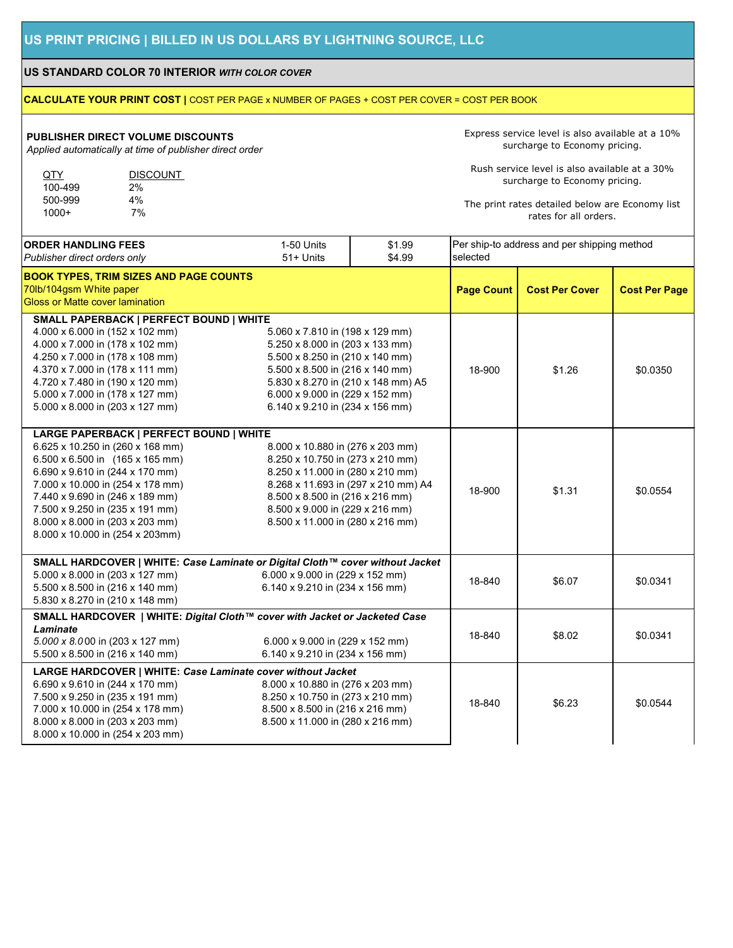#### **US STANDARD COLOR 70 INTERIOR** *WITH COLOR COVER*

#### **CALCULATE YOUR PRINT COST |** COST PER PAGE x NUMBER OF PAGES + COST PER COVER = COST PER BOOK

|         | <b>PUBLISHER DIRECT VOLUME DISCOUNTS</b><br>Applied automatically at time of publisher direct order |  |
|---------|-----------------------------------------------------------------------------------------------------|--|
|         | <b>DISCOUNT</b>                                                                                     |  |
| 100-499 | 2%                                                                                                  |  |
| 500-999 | 4%                                                                                                  |  |
|         | 7%                                                                                                  |  |

 $1000+$ 

Express service level is also available at a 10% surcharge to Economy pricing.

Rush service level is also available at a 30% surcharge to Economy pricing.

| <b>IORDER HANDLING FEES</b><br>Publisher direct orders only                                                                                                                                                                                                                                                                       | 1-50 Units<br>51+ Units                                                                                                                                                                                                                              | \$1.99<br>\$4.99                    | selected          | Per ship-to address and per shipping method |                      |
|-----------------------------------------------------------------------------------------------------------------------------------------------------------------------------------------------------------------------------------------------------------------------------------------------------------------------------------|------------------------------------------------------------------------------------------------------------------------------------------------------------------------------------------------------------------------------------------------------|-------------------------------------|-------------------|---------------------------------------------|----------------------|
| <b>BOOK TYPES, TRIM SIZES AND PAGE COUNTS</b><br>70lb/104gsm White paper<br><b>Gloss or Matte cover lamination</b>                                                                                                                                                                                                                |                                                                                                                                                                                                                                                      |                                     | <b>Page Count</b> | <b>Cost Per Cover</b>                       | <b>Cost Per Page</b> |
| SMALL PAPERBACK   PERFECT BOUND   WHITE<br>4.000 x 6.000 in (152 x 102 mm)<br>4.000 x 7.000 in (178 x 102 mm)<br>4.250 x 7.000 in (178 x 108 mm)<br>4.370 x 7.000 in (178 x 111 mm)<br>4.720 x 7.480 in (190 x 120 mm)<br>5.000 x 7.000 in (178 x 127 mm)<br>5.000 x 8.000 in (203 x 127 mm)                                      | 5.060 x 7.810 in (198 x 129 mm)<br>5.250 x 8.000 in (203 x 133 mm)<br>5.500 x 8.250 in (210 x 140 mm)<br>5.500 x 8.500 in (216 x 140 mm)<br>5.830 x 8.270 in (210 x 148 mm) A5<br>6.000 x 9.000 in (229 x 152 mm)<br>6.140 x 9.210 in (234 x 156 mm) |                                     | 18-900            | \$1.26                                      | \$0.0350             |
| LARGE PAPERBACK   PERFECT BOUND   WHITE<br>6.625 x 10.250 in (260 x 168 mm)<br>6.500 x 6.500 in (165 x 165 mm)<br>6.690 x 9.610 in (244 x 170 mm)<br>7.000 x 10.000 in (254 x 178 mm)<br>7.440 x 9.690 in (246 x 189 mm)<br>7.500 x 9.250 in (235 x 191 mm)<br>8.000 x 8.000 in (203 x 203 mm)<br>8.000 x 10.000 in (254 x 203mm) | 8.000 x 10.880 in (276 x 203 mm)<br>8.250 x 10.750 in (273 x 210 mm)<br>8.250 x 11.000 in (280 x 210 mm)<br>8.500 x 8.500 in (216 x 216 mm)<br>8.500 x 9.000 in (229 x 216 mm)<br>8.500 x 11.000 in (280 x 216 mm)                                   | 8.268 x 11.693 in (297 x 210 mm) A4 | 18-900            | \$1.31                                      | \$0.0554             |
| SMALL HARDCOVER   WHITE: Case Laminate or Digital Cloth™ cover without Jacket<br>5.000 x 8.000 in (203 x 127 mm)<br>5.500 x 8.500 in (216 x 140 mm)<br>5.830 x 8.270 in (210 x 148 mm)                                                                                                                                            | 6.000 x 9.000 in (229 x 152 mm)<br>6.140 x 9.210 in (234 x 156 mm)                                                                                                                                                                                   |                                     | 18-840            | \$6.07                                      | \$0.0341             |
| SMALL HARDCOVER   WHITE: Digital Cloth™ cover with Jacket or Jacketed Case<br>Laminate<br>5.000 x 8.000 in (203 x 127 mm)<br>5.500 x 8.500 in (216 x 140 mm)                                                                                                                                                                      | 6.000 x 9.000 in (229 x 152 mm)<br>6.140 x 9.210 in (234 x 156 mm)                                                                                                                                                                                   |                                     | 18-840            | \$8.02                                      | \$0.0341             |
| LARGE HARDCOVER   WHITE: Case Laminate cover without Jacket<br>6.690 x 9.610 in (244 x 170 mm)<br>7.500 x 9.250 in (235 x 191 mm)<br>7.000 x 10.000 in (254 x 178 mm)<br>8.000 x 8.000 in (203 x 203 mm)<br>8.000 x 10.000 in (254 x 203 mm)                                                                                      | 8.000 x 10.880 in (276 x 203 mm)<br>8.250 x 10.750 in (273 x 210 mm)<br>8.500 x 8.500 in (216 x 216 mm)<br>8.500 x 11.000 in (280 x 216 mm)                                                                                                          |                                     | 18-840            | \$6.23                                      | \$0.0544             |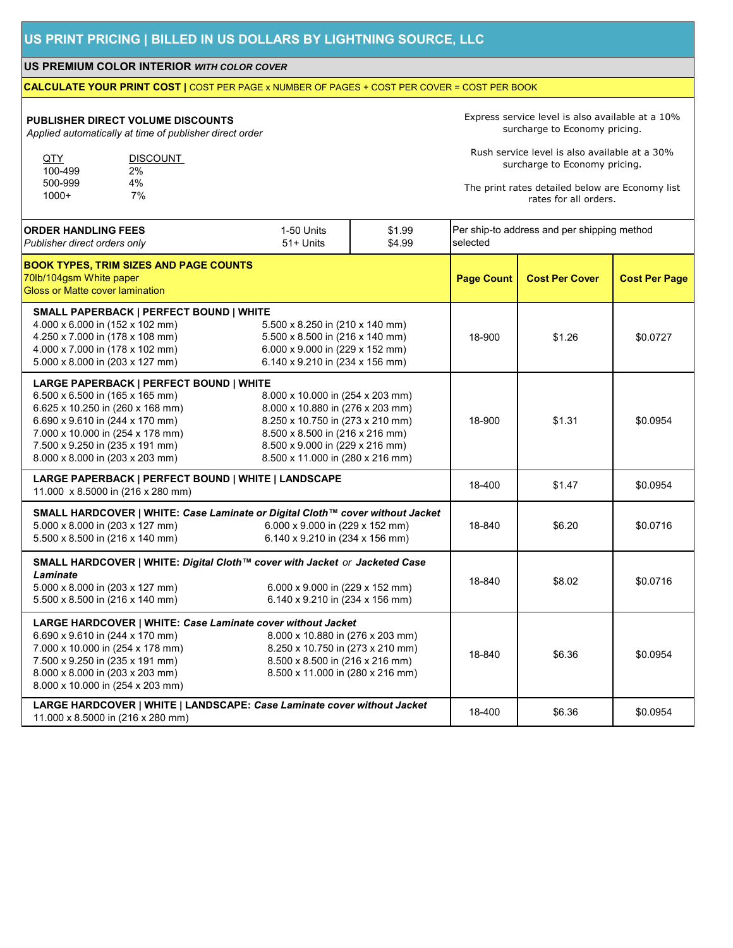#### **US PREMIUM COLOR INTERIOR** *WITH COLOR COVER*

#### **CALCULATE YOUR PRINT COST |** COST PER PAGE x NUMBER OF PAGES + COST PER COVER = COST PER BOOK

#### **PUBLISHER DIRECT VOLUME DISCOUNTS**

QTY<br>100-499 2%

100-499 2%

1000+ 7%

500-999

*Applied automatically at time of publisher direct order*

Express service level is also available at a 10% surcharge to Economy pricing.

Rush service level is also available at a 30% surcharge to Economy pricing.

| <b>ORDER HANDLING FEES</b><br>Publisher direct orders only                                                                                                                                                                                                                                                                      | 1-50 Units<br>51+ Units                                                                                                                                                                                            | \$1.99<br>\$4.99 | Per ship-to address and per shipping method<br>selected |                       |                      |
|---------------------------------------------------------------------------------------------------------------------------------------------------------------------------------------------------------------------------------------------------------------------------------------------------------------------------------|--------------------------------------------------------------------------------------------------------------------------------------------------------------------------------------------------------------------|------------------|---------------------------------------------------------|-----------------------|----------------------|
| <b>BOOK TYPES, TRIM SIZES AND PAGE COUNTS</b><br>70lb/104gsm White paper<br><b>Gloss or Matte cover lamination</b>                                                                                                                                                                                                              |                                                                                                                                                                                                                    |                  | <b>Page Count</b>                                       | <b>Cost Per Cover</b> | <b>Cost Per Page</b> |
| SMALL PAPERBACK   PERFECT BOUND   WHITE<br>4.000 x 6.000 in (152 x 102 mm)<br>5.500 x 8.250 in (210 x 140 mm)<br>4.250 x 7.000 in (178 x 108 mm)<br>5.500 x 8.500 in (216 x 140 mm)<br>4.000 x 7.000 in (178 x 102 mm)<br>6.000 x 9.000 in (229 x 152 mm)<br>5.000 x 8.000 in (203 x 127 mm)<br>6.140 x 9.210 in (234 x 156 mm) |                                                                                                                                                                                                                    | 18-900           | \$1.26                                                  | \$0.0727              |                      |
| LARGE PAPERBACK   PERFECT BOUND   WHITE<br>6.500 x 6.500 in (165 x 165 mm)<br>6.625 x 10.250 in (260 x 168 mm)<br>6.690 x 9.610 in (244 x 170 mm)<br>7.000 x 10.000 in (254 x 178 mm)<br>7.500 x 9.250 in (235 x 191 mm)<br>8.000 x 8.000 in (203 x 203 mm)                                                                     | 8.000 x 10.000 in (254 x 203 mm)<br>8.000 x 10.880 in (276 x 203 mm)<br>8.250 x 10.750 in (273 x 210 mm)<br>8.500 x 8.500 in (216 x 216 mm)<br>8.500 x 9.000 in (229 x 216 mm)<br>8.500 x 11.000 in (280 x 216 mm) |                  | 18-900                                                  | \$1.31                | \$0.0954             |
| LARGE PAPERBACK   PERFECT BOUND   WHITE   LANDSCAPE<br>11.000 x 8.5000 in (216 x 280 mm)                                                                                                                                                                                                                                        |                                                                                                                                                                                                                    |                  | 18-400                                                  | \$1.47                | \$0.0954             |
| SMALL HARDCOVER   WHITE: Case Laminate or Digital Cloth™ cover without Jacket<br>5.000 x 8.000 in (203 x 127 mm)<br>5.500 x 8.500 in (216 x 140 mm)                                                                                                                                                                             | 6.000 x 9.000 in (229 x 152 mm)<br>6.140 x 9.210 in (234 x 156 mm)                                                                                                                                                 |                  | 18-840                                                  | \$6.20                | \$0.0716             |
| SMALL HARDCOVER   WHITE: Digital Cloth™ cover with Jacket or Jacketed Case<br>Laminate<br>5.000 x 8.000 in (203 x 127 mm)<br>5.500 x 8.500 in (216 x 140 mm)                                                                                                                                                                    | 6.000 x 9.000 in (229 x 152 mm)<br>6.140 x 9.210 in (234 x 156 mm)                                                                                                                                                 |                  | 18-840                                                  | \$8.02                | \$0.0716             |
| LARGE HARDCOVER   WHITE: Case Laminate cover without Jacket<br>6.690 x 9.610 in (244 x 170 mm)<br>7.000 x 10.000 in (254 x 178 mm)<br>7.500 x 9.250 in (235 x 191 mm)<br>8.000 x 8.000 in (203 x 203 mm)<br>8.000 x 10.000 in (254 x 203 mm)                                                                                    | 8.000 x 10.880 in (276 x 203 mm)<br>8.250 x 10.750 in (273 x 210 mm)<br>8.500 x 8.500 in (216 x 216 mm)<br>8.500 x 11.000 in (280 x 216 mm)                                                                        |                  | 18-840                                                  | \$6.36                | \$0.0954             |
| LARGE HARDCOVER   WHITE   LANDSCAPE: Case Laminate cover without Jacket<br>11.000 x 8.5000 in (216 x 280 mm)                                                                                                                                                                                                                    |                                                                                                                                                                                                                    |                  | 18-400                                                  | \$6.36                | \$0.0954             |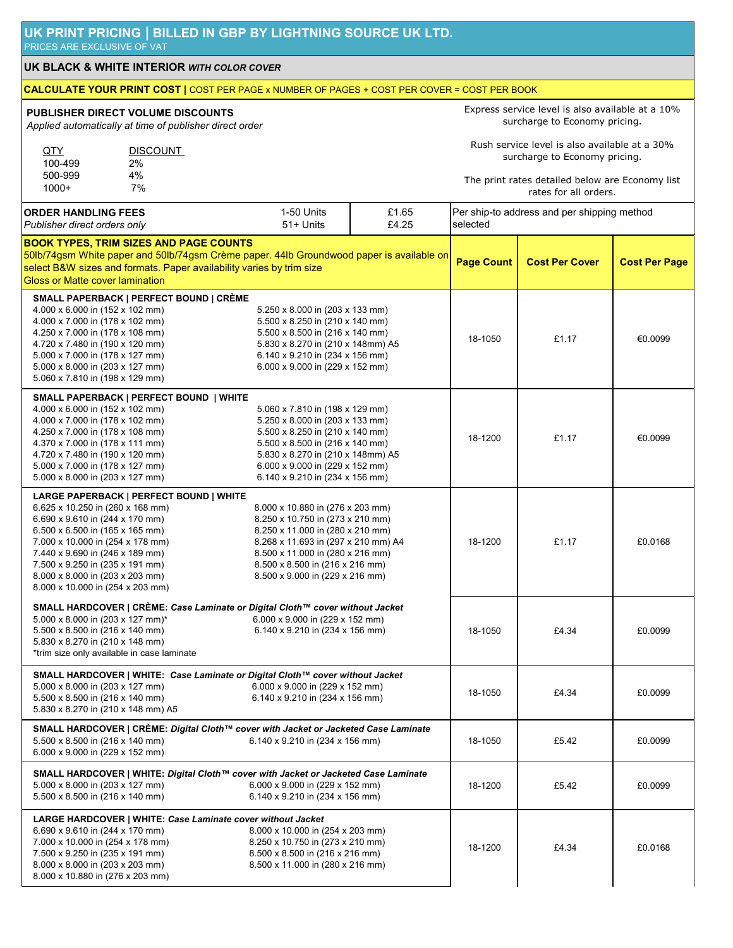| UK PRINT PRICING   BILLED IN GBP BY LIGHTNING SOURCE UK LTD.<br><b>PRICES ARE EXCLUSIVE OF VAT</b>                                                                                                                                                                                                                                 |                                                                                                                                                                                                                  |                                                                                                                                                                                                                                                           |                   |                                                                                   |                      |
|------------------------------------------------------------------------------------------------------------------------------------------------------------------------------------------------------------------------------------------------------------------------------------------------------------------------------------|------------------------------------------------------------------------------------------------------------------------------------------------------------------------------------------------------------------|-----------------------------------------------------------------------------------------------------------------------------------------------------------------------------------------------------------------------------------------------------------|-------------------|-----------------------------------------------------------------------------------|----------------------|
| UK BLACK & WHITE INTERIOR WITH COLOR COVER                                                                                                                                                                                                                                                                                         |                                                                                                                                                                                                                  |                                                                                                                                                                                                                                                           |                   |                                                                                   |                      |
|                                                                                                                                                                                                                                                                                                                                    | <b>CALCULATE YOUR PRINT COST  </b> COST PER PAGE x NUMBER OF PAGES + COST PER COVER = COST PER BOOK                                                                                                              |                                                                                                                                                                                                                                                           |                   |                                                                                   |                      |
| <b>PUBLISHER DIRECT VOLUME DISCOUNTS</b><br>Applied automatically at time of publisher direct order                                                                                                                                                                                                                                |                                                                                                                                                                                                                  |                                                                                                                                                                                                                                                           |                   | Express service level is also available at a 10%<br>surcharge to Economy pricing. |                      |
| QTY<br><b>DISCOUNT</b><br>100-499<br>2%                                                                                                                                                                                                                                                                                            |                                                                                                                                                                                                                  |                                                                                                                                                                                                                                                           |                   | Rush service level is also available at a 30%<br>surcharge to Economy pricing.    |                      |
| 500-999<br>4%<br>$1000+$<br>7%                                                                                                                                                                                                                                                                                                     |                                                                                                                                                                                                                  | The print rates detailed below are Economy list<br>rates for all orders.                                                                                                                                                                                  |                   |                                                                                   |                      |
| <b>ORDER HANDLING FEES</b><br>Publisher direct orders only                                                                                                                                                                                                                                                                         | 1-50 Units<br>51+ Units                                                                                                                                                                                          | £1.65<br>Per ship-to address and per shipping method<br>£4.25<br>selected                                                                                                                                                                                 |                   |                                                                                   |                      |
| <b>BOOK TYPES, TRIM SIZES AND PAGE COUNTS</b><br><b>Gloss or Matte cover lamination</b>                                                                                                                                                                                                                                            | 50lb/74gsm White paper and 50lb/74gsm Crème paper. 44lb Groundwood paper is available on<br>select B&W sizes and formats. Paper availability varies by trim size                                                 |                                                                                                                                                                                                                                                           | <b>Page Count</b> | <b>Cost Per Cover</b>                                                             | <b>Cost Per Page</b> |
| SMALL PAPERBACK   PERFECT BOUND   CRÈME<br>4.000 x 6.000 in (152 x 102 mm)<br>4.000 x 7.000 in (178 x 102 mm)<br>4.250 x 7.000 in (178 x 108 mm)<br>4.720 x 7.480 in (190 x 120 mm)<br>5.000 x 7.000 in (178 x 127 mm)<br>5.000 x 8.000 in (203 x 127 mm)<br>5.060 x 7.810 in (198 x 129 mm)                                       | 5.250 x 8.000 in (203 x 133 mm)<br>5.500 x 8.250 in (210 x 140 mm)<br>5.500 x 8.500 in (216 x 140 mm)<br>5.830 x 8.270 in (210 x 148mm) A5<br>6.140 x 9.210 in (234 x 156 mm)<br>6.000 x 9.000 in (229 x 152 mm) |                                                                                                                                                                                                                                                           | 18-1050           | £1.17                                                                             | €0.0099              |
| SMALL PAPERBACK   PERFECT BOUND   WHITE<br>4.000 x 6.000 in (152 x 102 mm)<br>4.000 x 7.000 in (178 x 102 mm)<br>4.250 x 7.000 in (178 x 108 mm)<br>4.370 x 7.000 in (178 x 111 mm)<br>4.720 x 7.480 in (190 x 120 mm)<br>5.000 x 7.000 in (178 x 127 mm)<br>5.000 x 8.000 in (203 x 127 mm)                                       |                                                                                                                                                                                                                  | 5.060 x 7.810 in (198 x 129 mm)<br>5.250 x 8.000 in (203 x 133 mm)<br>5.500 x 8.250 in (210 x 140 mm)<br>5.500 x 8.500 in (216 x 140 mm)<br>5.830 x 8.270 in (210 x 148mm) A5<br>6.000 x 9.000 in (229 x 152 mm)<br>6.140 x 9.210 in (234 x 156 mm)       |                   | £1.17                                                                             | €0.0099              |
| LARGE PAPERBACK   PERFECT BOUND   WHITE<br>6.625 x 10.250 in (260 x 168 mm)<br>6.690 x 9.610 in (244 x 170 mm)<br>6.500 x 6.500 in (165 x 165 mm)<br>7.000 x 10.000 in (254 x 178 mm)<br>7.440 x 9.690 in (246 x 189 mm)<br>7.500 x 9.250 in (235 x 191 mm)<br>8.000 x 8.000 in (203 x 203 mm)<br>8.000 x 10.000 in (254 x 203 mm) |                                                                                                                                                                                                                  | 8.000 x 10.880 in (276 x 203 mm)<br>8.250 x 10.750 in (273 x 210 mm)<br>8.250 x 11.000 in (280 x 210 mm)<br>8.268 x 11.693 in (297 x 210 mm) A4<br>8.500 x 11.000 in (280 x 216 mm)<br>8.500 x 8.500 in (216 x 216 mm)<br>8.500 x 9.000 in (229 x 216 mm) |                   | £1.17                                                                             | £0.0168              |
| 5.000 x 8.000 in (203 x 127 mm)*<br>5.500 x 8.500 in (216 x 140 mm)<br>5.830 x 8.270 in (210 x 148 mm)<br>*trim size only available in case laminate                                                                                                                                                                               | SMALL HARDCOVER   CRÈME: Case Laminate or Digital Cloth™ cover without Jacket                                                                                                                                    | 6.000 x 9.000 in (229 x 152 mm)<br>6.140 x 9.210 in (234 x 156 mm)                                                                                                                                                                                        |                   | £4.34                                                                             | £0.0099              |
| 5.000 x 8.000 in (203 x 127 mm)<br>5.500 x 8.500 in (216 x 140 mm)<br>5.830 x 8.270 in (210 x 148 mm) A5                                                                                                                                                                                                                           | SMALL HARDCOVER   WHITE: Case Laminate or Digital Cloth™ cover without Jacket<br>6.000 x 9.000 in (229 x 152 mm)<br>6.140 x 9.210 in (234 x 156 mm)                                                              |                                                                                                                                                                                                                                                           | 18-1050           | £4.34                                                                             | £0.0099              |
| 5.500 x 8.500 in (216 x 140 mm)<br>6.000 x 9.000 in (229 x 152 mm)                                                                                                                                                                                                                                                                 | SMALL HARDCOVER   CRÈME: Digital Cloth™ cover with Jacket or Jacketed Case Laminate<br>6.140 x 9.210 in (234 x 156 mm)                                                                                           |                                                                                                                                                                                                                                                           | 18-1050           | £5.42                                                                             | £0.0099              |
| 5.000 x 8.000 in (203 x 127 mm)<br>5.500 x 8.500 in (216 x 140 mm)                                                                                                                                                                                                                                                                 | SMALL HARDCOVER   WHITE: Digital Cloth™ cover with Jacket or Jacketed Case Laminate<br>6.000 x 9.000 in (229 x 152 mm)<br>6.140 x 9.210 in (234 x 156 mm)                                                        |                                                                                                                                                                                                                                                           | 18-1200           | £5.42                                                                             | £0.0099              |
| 6.690 x 9.610 in (244 x 170 mm)<br>7.000 x 10.000 in (254 x 178 mm)<br>7.500 x 9.250 in (235 x 191 mm)<br>8.000 x 8.000 in (203 x 203 mm)<br>8.000 x 10.880 in (276 x 203 mm)                                                                                                                                                      | LARGE HARDCOVER   WHITE: Case Laminate cover without Jacket<br>8.000 x 10.000 in (254 x 203 mm)<br>8.250 x 10.750 in (273 x 210 mm)<br>8.500 x 8.500 in (216 x 216 mm)<br>8.500 x 11.000 in (280 x 216 mm)       |                                                                                                                                                                                                                                                           | 18-1200           | £4.34                                                                             | £0.0168              |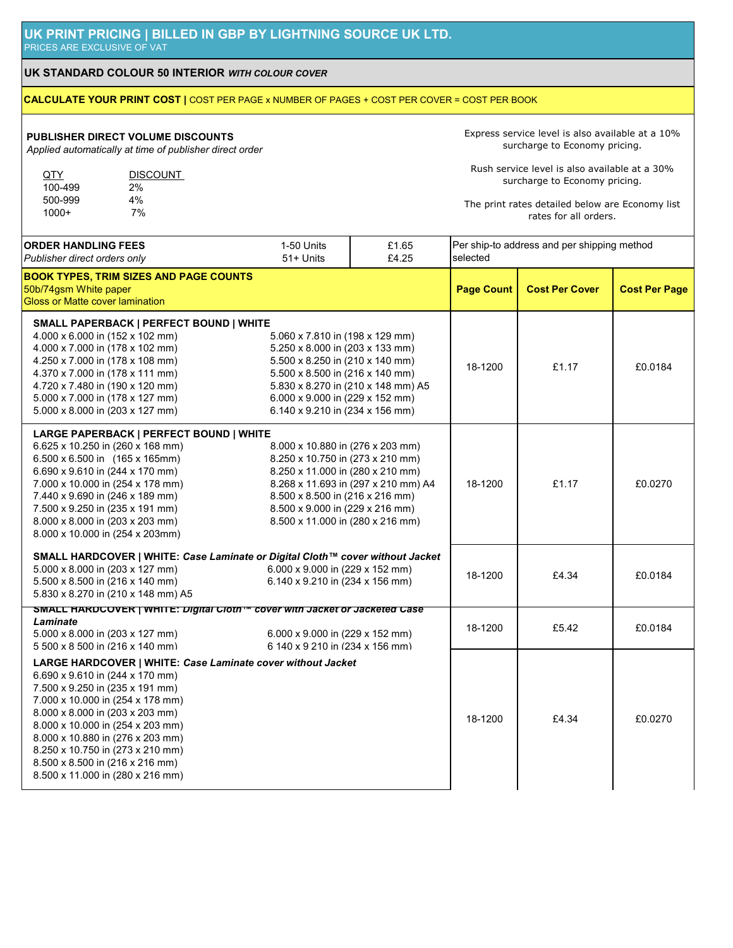#### **UK PRINT PRICING | BILLED IN GBP BY LIGHTNING SOURCE UK LTD.** PRICES ARE EXCLUSIVE OF VAT

#### **UK STANDARD COLOUR 50 INTERIOR** *WITH COLOUR COVER*

#### **CALCULATE YOUR PRINT COST |** COST PER PAGE x NUMBER OF PAGES + COST PER COVER = COST PER BOOK

QTY DISCOUNT<br>100-499 2%

 100-499 2% 500-999 4%

 $1000+$ 

*Applied automatically at time of publisher direct order*

Express service level is also available at a 10% surcharge to Economy pricing.

Rush service level is also available at a 30% surcharge to Economy pricing.

| <b>ORDER HANDLING FEES</b><br>Publisher direct orders only                                                                                                                                                                                                                                                                                                                                  | 1-50 Units<br>51+ Units                                                                                                                                                                                            | £1.65<br>£4.25                      | Per ship-to address and per shipping method<br>selected |                       |                      |
|---------------------------------------------------------------------------------------------------------------------------------------------------------------------------------------------------------------------------------------------------------------------------------------------------------------------------------------------------------------------------------------------|--------------------------------------------------------------------------------------------------------------------------------------------------------------------------------------------------------------------|-------------------------------------|---------------------------------------------------------|-----------------------|----------------------|
| <b>BOOK TYPES, TRIM SIZES AND PAGE COUNTS</b><br>50b/74gsm White paper<br><b>Gloss or Matte cover lamination</b>                                                                                                                                                                                                                                                                            |                                                                                                                                                                                                                    |                                     | <b>Page Count</b>                                       | <b>Cost Per Cover</b> | <b>Cost Per Page</b> |
| SMALL PAPERBACK   PERFECT BOUND   WHITE<br>4.000 x 6.000 in (152 x 102 mm)<br>4.000 x 7.000 in (178 x 102 mm)<br>4.250 x 7.000 in (178 x 108 mm)<br>4.370 x 7.000 in (178 x 111 mm)<br>4.720 x 7.480 in (190 x 120 mm)<br>5.000 x 7.000 in (178 x 127 mm)<br>5.000 x 8.000 in (203 x 127 mm)                                                                                                | 5.060 x 7.810 in (198 x 129 mm)<br>5.250 x 8.000 in (203 x 133 mm)<br>5.500 x 8.250 in (210 x 140 mm)<br>5.500 x 8.500 in (216 x 140 mm)<br>6.000 x 9.000 in (229 x 152 mm)<br>6.140 x 9.210 in (234 x 156 mm)     | 5.830 x 8.270 in (210 x 148 mm) A5  | 18-1200                                                 | £1.17                 | £0.0184              |
| LARGE PAPERBACK   PERFECT BOUND   WHITE<br>6.625 x 10.250 in (260 x 168 mm)<br>6.500 x 6.500 in (165 x 165mm)<br>6.690 x 9.610 in (244 x 170 mm)<br>7.000 x 10.000 in (254 x 178 mm)<br>7.440 x 9.690 in (246 x 189 mm)<br>7.500 x 9.250 in (235 x 191 mm)<br>8.000 x 8.000 in (203 x 203 mm)<br>8.000 x 10.000 in (254 x 203mm)                                                            | 8.000 x 10.880 in (276 x 203 mm)<br>8.250 x 10.750 in (273 x 210 mm)<br>8.250 x 11.000 in (280 x 210 mm)<br>8.500 x 8.500 in (216 x 216 mm)<br>8.500 x 9.000 in (229 x 216 mm)<br>8.500 x 11.000 in (280 x 216 mm) | 8.268 x 11.693 in (297 x 210 mm) A4 | 18-1200                                                 | £1.17                 | £0.0270              |
| SMALL HARDCOVER   WHITE: Case Laminate or Digital Cloth™ cover without Jacket<br>5.000 x 8.000 in (203 x 127 mm)<br>5.500 x 8.500 in (216 x 140 mm)<br>5.830 x 8.270 in (210 x 148 mm) A5                                                                                                                                                                                                   | 6.000 x 9.000 in (229 x 152 mm)<br>6.140 x 9.210 in (234 x 156 mm)                                                                                                                                                 |                                     | 18-1200                                                 | £4.34                 | £0.0184              |
| SMALL HARDCOVER   WHITE: DIGITAL CIOTO THE COVER WITH JACKET OF JACKETED CASE<br><b>Laminate</b><br>5.000 x 8.000 in (203 x 127 mm)<br>$5,500 \times 8,500$ in (216 x 140 mm)                                                                                                                                                                                                               | 6.000 x 9.000 in (229 x 152 mm)<br>$6140 \times 9210$ in (234 x 156 mm)                                                                                                                                            |                                     | 18-1200                                                 | £5.42                 | £0.0184              |
| LARGE HARDCOVER   WHITE: Case Laminate cover without Jacket<br>6.690 x 9.610 in (244 x 170 mm)<br>7.500 x 9.250 in (235 x 191 mm)<br>7.000 x 10.000 in (254 x 178 mm)<br>8.000 x 8.000 in (203 x 203 mm)<br>8.000 x 10.000 in (254 x 203 mm)<br>8.000 x 10.880 in (276 x 203 mm)<br>8.250 x 10.750 in (273 x 210 mm)<br>8.500 x 8.500 in (216 x 216 mm)<br>8.500 x 11.000 in (280 x 216 mm) |                                                                                                                                                                                                                    |                                     | 18-1200                                                 | £4.34                 | £0.0270              |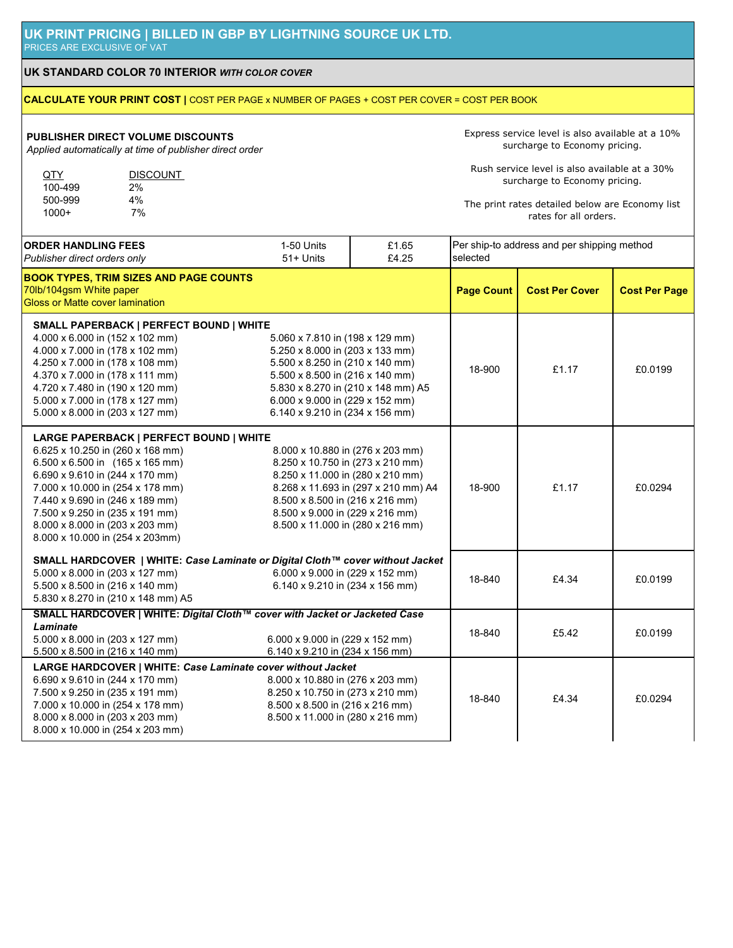### **UK PRINT PRICING | BILLED IN GBP BY LIGHTNING SOURCE UK LTD.** PRICES ARE EXCLUSIVE OF VAT

#### **UK STANDARD COLOR 70 INTERIOR** *WITH COLOR COVER*

#### **CALCULATE YOUR PRINT COST |** COST PER PAGE x NUMBER OF PAGES + COST PER COVER = COST PER BOOK

#### **PUBLISHER DIRECT VOLUME DISCOUNTS**

QTY DISCOUNT<br>100-499 2%

 100-499 2% 500-999 4%

 $1000+$ 

*Applied automatically at time of publisher direct order*

Express service level is also available at a 10% surcharge to Economy pricing.

Rush service level is also available at a 30% surcharge to Economy pricing.

| <b>ORDER HANDLING FEES</b><br>Publisher direct orders only                                                                                                                                                                                                                                                                        | 1-50 Units<br>51+ Units                                                                                                                                                                                            | £1.65<br>£4.25                      | Per ship-to address and per shipping method<br>selected |                       |                      |
|-----------------------------------------------------------------------------------------------------------------------------------------------------------------------------------------------------------------------------------------------------------------------------------------------------------------------------------|--------------------------------------------------------------------------------------------------------------------------------------------------------------------------------------------------------------------|-------------------------------------|---------------------------------------------------------|-----------------------|----------------------|
| <b>BOOK TYPES, TRIM SIZES AND PAGE COUNTS</b><br>70lb/104gsm White paper<br><b>Gloss or Matte cover lamination</b>                                                                                                                                                                                                                |                                                                                                                                                                                                                    |                                     | <b>Page Count</b>                                       | <b>Cost Per Cover</b> | <b>Cost Per Page</b> |
| SMALL PAPERBACK   PERFECT BOUND   WHITE<br>4.000 x 6.000 in (152 x 102 mm)<br>4.000 x 7.000 in (178 x 102 mm)<br>4.250 x 7.000 in (178 x 108 mm)<br>4.370 x 7.000 in (178 x 111 mm)<br>4.720 x 7.480 in (190 x 120 mm)<br>5.000 x 7.000 in (178 x 127 mm)<br>5.000 x 8.000 in (203 x 127 mm)                                      | 5.060 x 7.810 in (198 x 129 mm)<br>5.250 x 8.000 in (203 x 133 mm)<br>5.500 x 8.250 in (210 x 140 mm)<br>5.500 x 8.500 in (216 x 140 mm)<br>6.000 x 9.000 in (229 x 152 mm)<br>6.140 x 9.210 in (234 x 156 mm)     | 5.830 x 8.270 in (210 x 148 mm) A5  | 18-900                                                  | £1.17                 | £0.0199              |
| LARGE PAPERBACK   PERFECT BOUND   WHITE<br>6.625 x 10.250 in (260 x 168 mm)<br>6.500 x 6.500 in (165 x 165 mm)<br>6.690 x 9.610 in (244 x 170 mm)<br>7.000 x 10.000 in (254 x 178 mm)<br>7.440 x 9.690 in (246 x 189 mm)<br>7.500 x 9.250 in (235 x 191 mm)<br>8.000 x 8.000 in (203 x 203 mm)<br>8.000 x 10.000 in (254 x 203mm) | 8.000 x 10.880 in (276 x 203 mm)<br>8.250 x 10.750 in (273 x 210 mm)<br>8.250 x 11.000 in (280 x 210 mm)<br>8.500 x 8.500 in (216 x 216 mm)<br>8.500 x 9.000 in (229 x 216 mm)<br>8.500 x 11.000 in (280 x 216 mm) | 8.268 x 11.693 in (297 x 210 mm) A4 | 18-900                                                  | £1.17                 | £0.0294              |
| SMALL HARDCOVER   WHITE: Case Laminate or Digital Cloth™ cover without Jacket<br>5.000 x 8.000 in (203 x 127 mm)<br>5.500 x 8.500 in (216 x 140 mm)<br>5.830 x 8.270 in (210 x 148 mm) A5                                                                                                                                         | 6.000 x 9.000 in (229 x 152 mm)<br>6.140 x 9.210 in (234 x 156 mm)                                                                                                                                                 |                                     | 18-840                                                  | £4.34                 | £0.0199              |
| SMALL HARDCOVER   WHITE: Digital Cloth™ cover with Jacket or Jacketed Case<br><b>Laminate</b><br>5.000 x 8.000 in (203 x 127 mm)<br>5.500 x 8.500 in (216 x 140 mm)                                                                                                                                                               | 6.000 x 9.000 in (229 x 152 mm)<br>6.140 x 9.210 in (234 x 156 mm)                                                                                                                                                 |                                     | 18-840                                                  | £5.42                 | £0.0199              |
| LARGE HARDCOVER   WHITE: Case Laminate cover without Jacket<br>6.690 x 9.610 in (244 x 170 mm)<br>7.500 x 9.250 in (235 x 191 mm)<br>7.000 x 10.000 in (254 x 178 mm)<br>8.000 x 8.000 in (203 x 203 mm)<br>8.000 x 10.000 in (254 x 203 mm)                                                                                      | 8.000 x 10.880 in (276 x 203 mm)<br>8.250 x 10.750 in (273 x 210 mm)<br>8.500 x 8.500 in (216 x 216 mm)<br>8.500 x 11.000 in (280 x 216 mm)                                                                        |                                     | 18-840                                                  | £4.34                 | £0.0294              |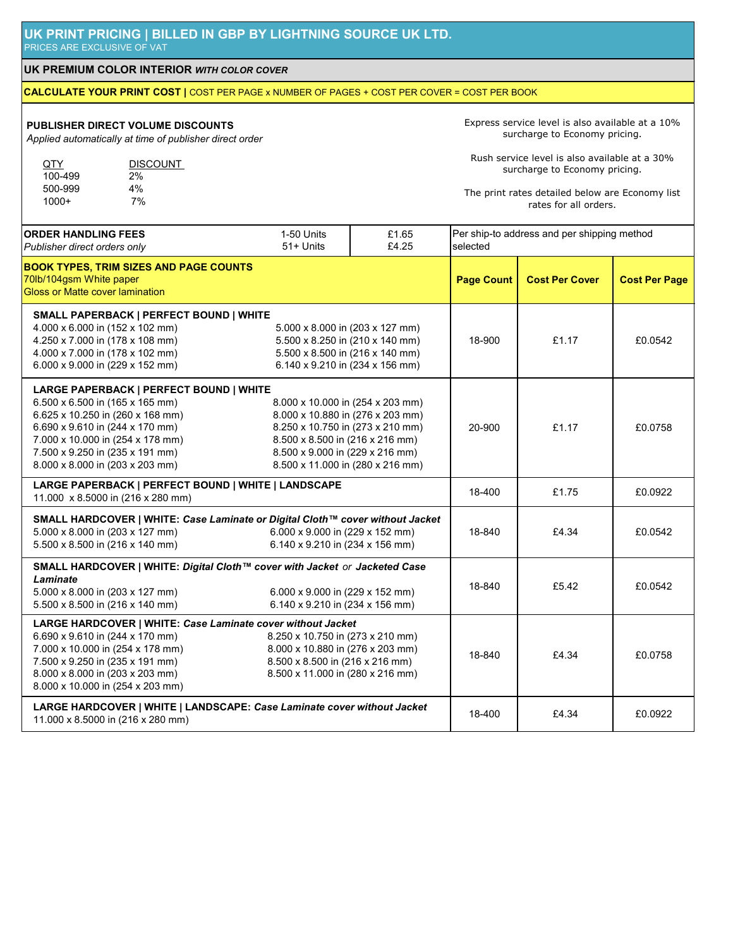#### **UK PRINT PRICING | BILLED IN GBP BY LIGHTNING SOURCE UK LTD.** PRICES ARE EXCLUSIVE OF VAT

#### **UK PREMIUM COLOR INTERIOR** *WITH COLOR COVER*

#### **CALCULATE YOUR PRINT COST |** COST PER PAGE x NUMBER OF PAGES + COST PER COVER = COST PER BOOK

#### **PUBLISHER DIRECT VOLUME DISCOUNTS**

QTY<br>100-499 2%

100-499 2%

1000+ 7%

500-999

*Applied automatically at time of publisher direct order*

Express service level is also available at a 10% surcharge to Economy pricing.

Rush service level is also available at a 30% surcharge to Economy pricing.

| <b>ORDER HANDLING FEES</b><br>Publisher direct orders only                                                                                                                                                                                                  | 1-50 Units<br>51+ Units                                                                                                                                                                                            | £1.65<br>£4.25 | Per ship-to address and per shipping method<br>selected |                       |                      |
|-------------------------------------------------------------------------------------------------------------------------------------------------------------------------------------------------------------------------------------------------------------|--------------------------------------------------------------------------------------------------------------------------------------------------------------------------------------------------------------------|----------------|---------------------------------------------------------|-----------------------|----------------------|
| <b>BOOK TYPES, TRIM SIZES AND PAGE COUNTS</b><br>70lb/104gsm White paper<br><b>Gloss or Matte cover lamination</b>                                                                                                                                          |                                                                                                                                                                                                                    |                | <b>Page Count</b>                                       | <b>Cost Per Cover</b> | <b>Cost Per Page</b> |
| SMALL PAPERBACK   PERFECT BOUND   WHITE<br>4.000 x 6.000 in (152 x 102 mm)<br>4.250 x 7.000 in (178 x 108 mm)<br>4.000 x 7.000 in (178 x 102 mm)<br>6.000 x 9.000 in (229 x 152 mm)                                                                         | $5.000 \times 8.000$ in (203 x 127 mm)<br>5.500 x 8.250 in (210 x 140 mm)<br>5.500 x 8.500 in (216 x 140 mm)<br>6.140 x 9.210 in (234 x 156 mm)                                                                    |                | 18-900                                                  | £1.17                 | £0.0542              |
| LARGE PAPERBACK   PERFECT BOUND   WHITE<br>6.500 x 6.500 in (165 x 165 mm)<br>6.625 x 10.250 in (260 x 168 mm)<br>6.690 x 9.610 in (244 x 170 mm)<br>7.000 x 10.000 in (254 x 178 mm)<br>7.500 x 9.250 in (235 x 191 mm)<br>8.000 x 8.000 in (203 x 203 mm) | 8.000 x 10.000 in (254 x 203 mm)<br>8.000 x 10.880 in (276 x 203 mm)<br>8.250 x 10.750 in (273 x 210 mm)<br>8.500 x 8.500 in (216 x 216 mm)<br>8.500 x 9.000 in (229 x 216 mm)<br>8.500 x 11.000 in (280 x 216 mm) |                | 20-900                                                  | £1.17                 | £0.0758              |
| LARGE PAPERBACK   PERFECT BOUND   WHITE   LANDSCAPE<br>11.000 x 8.5000 in (216 x 280 mm)                                                                                                                                                                    |                                                                                                                                                                                                                    | 18-400         | £1.75                                                   | £0.0922               |                      |
| SMALL HARDCOVER   WHITE: Case Laminate or Digital Cloth™ cover without Jacket<br>5.000 x 8.000 in (203 x 127 mm)<br>5.500 x 8.500 in (216 x 140 mm)                                                                                                         | 6.000 x 9.000 in (229 x 152 mm)<br>6.140 x 9.210 in (234 x 156 mm)                                                                                                                                                 |                | 18-840                                                  | £4.34                 | £0.0542              |
| SMALL HARDCOVER   WHITE: Digital Cloth™ cover with Jacket or Jacketed Case<br>Laminate<br>5.000 x 8.000 in (203 x 127 mm)<br>5.500 x 8.500 in (216 x 140 mm)                                                                                                | 6.000 x 9.000 in (229 x 152 mm)<br>6.140 x 9.210 in (234 x 156 mm)                                                                                                                                                 |                | 18-840                                                  | £5.42                 | £0.0542              |
| LARGE HARDCOVER   WHITE: Case Laminate cover without Jacket<br>6.690 x 9.610 in (244 x 170 mm)<br>7.000 x 10.000 in (254 x 178 mm)<br>7.500 x 9.250 in (235 x 191 mm)<br>8.000 x 8.000 in (203 x 203 mm)<br>8.000 x 10.000 in (254 x 203 mm)                | 8.250 x 10.750 in (273 x 210 mm)<br>8.000 x 10.880 in (276 x 203 mm)<br>8.500 x 8.500 in (216 x 216 mm)<br>8.500 x 11.000 in (280 x 216 mm)                                                                        |                | 18-840                                                  | £4.34                 | £0.0758              |
| LARGE HARDCOVER   WHITE   LANDSCAPE: Case Laminate cover without Jacket<br>11.000 x 8.5000 in (216 x 280 mm)                                                                                                                                                |                                                                                                                                                                                                                    |                | 18-400                                                  | £4.34                 | £0.0922              |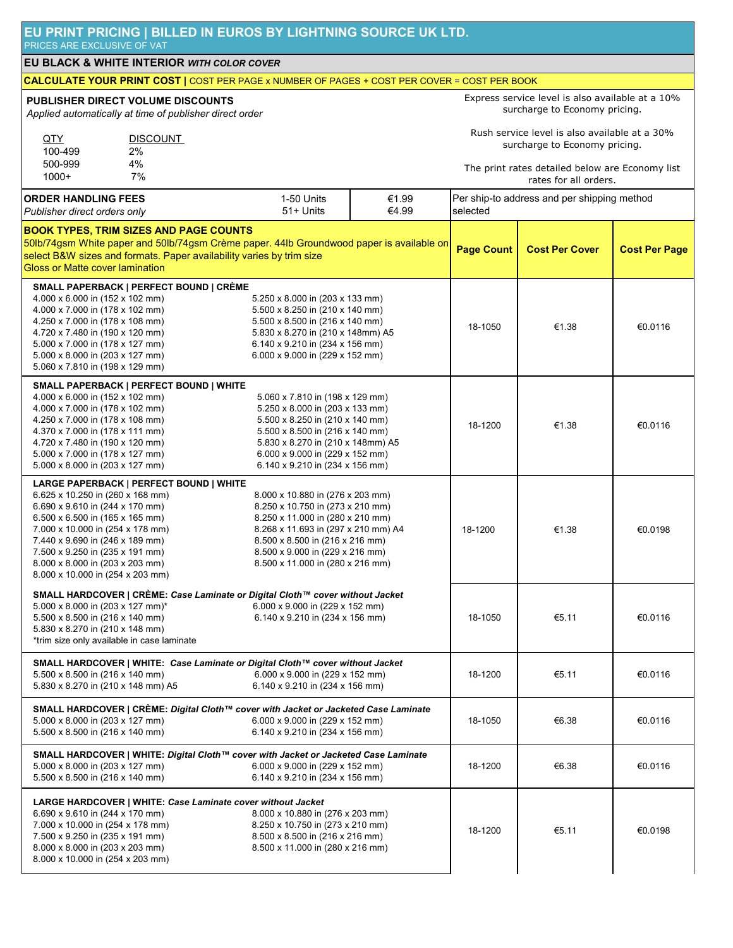| EU PRINT PRICING   BILLED IN EUROS BY LIGHTNING SOURCE UK LTD.<br>PRICES ARE EXCLUSIVE OF VAT                                                                                                                                                                                                                                      |                                                                                                                                                                                                                                                           |                |                   |                                                                                   |                      |  |
|------------------------------------------------------------------------------------------------------------------------------------------------------------------------------------------------------------------------------------------------------------------------------------------------------------------------------------|-----------------------------------------------------------------------------------------------------------------------------------------------------------------------------------------------------------------------------------------------------------|----------------|-------------------|-----------------------------------------------------------------------------------|----------------------|--|
| <b>EU BLACK &amp; WHITE INTERIOR WITH COLOR COVER</b>                                                                                                                                                                                                                                                                              |                                                                                                                                                                                                                                                           |                |                   |                                                                                   |                      |  |
| <b>CALCULATE YOUR PRINT COST  </b> COST PER PAGE x NUMBER OF PAGES + COST PER COVER = COST PER BOOK                                                                                                                                                                                                                                |                                                                                                                                                                                                                                                           |                |                   |                                                                                   |                      |  |
| PUBLISHER DIRECT VOLUME DISCOUNTS<br>Applied automatically at time of publisher direct order                                                                                                                                                                                                                                       |                                                                                                                                                                                                                                                           |                |                   | Express service level is also available at a 10%<br>surcharge to Economy pricing. |                      |  |
| <b>DISCOUNT</b><br>QTY<br>2%<br>100-499                                                                                                                                                                                                                                                                                            |                                                                                                                                                                                                                                                           |                |                   | Rush service level is also available at a 30%<br>surcharge to Economy pricing.    |                      |  |
| 4%<br>500-999<br>$1000+$<br>7%                                                                                                                                                                                                                                                                                                     |                                                                                                                                                                                                                                                           |                |                   | The print rates detailed below are Economy list<br>rates for all orders.          |                      |  |
| <b>ORDER HANDLING FEES</b><br>Publisher direct orders only                                                                                                                                                                                                                                                                         | 1-50 Units<br>51+ Units                                                                                                                                                                                                                                   | €1.99<br>€4.99 | selected          | Per ship-to address and per shipping method                                       |                      |  |
| <b>BOOK TYPES, TRIM SIZES AND PAGE COUNTS</b><br>50lb/74gsm White paper and 50lb/74gsm Crème paper. 44lb Groundwood paper is available on<br>select B&W sizes and formats. Paper availability varies by trim size<br><b>Gloss or Matte cover lamination</b>                                                                        |                                                                                                                                                                                                                                                           |                | <b>Page Count</b> | <b>Cost Per Cover</b>                                                             | <b>Cost Per Page</b> |  |
| SMALL PAPERBACK   PERFECT BOUND   CRÈME<br>4.000 x 6.000 in (152 x 102 mm)<br>4.000 x 7.000 in (178 x 102 mm)<br>4.250 x 7.000 in (178 x 108 mm)<br>4.720 x 7.480 in (190 x 120 mm)<br>5.000 x 7.000 in (178 x 127 mm)<br>5.000 x 8.000 in (203 x 127 mm)<br>5.060 x 7.810 in (198 x 129 mm)                                       | 5.250 x 8.000 in (203 x 133 mm)<br>5.500 x 8.250 in (210 x 140 mm)<br>5.500 x 8.500 in (216 x 140 mm)<br>5.830 x 8.270 in (210 x 148mm) A5<br>6.140 x 9.210 in (234 x 156 mm)<br>6.000 x 9.000 in (229 x 152 mm)                                          |                | 18-1050           | €1.38                                                                             | €0.0116              |  |
| SMALL PAPERBACK   PERFECT BOUND   WHITE<br>4.000 x 6.000 in (152 x 102 mm)<br>4.000 x 7.000 in (178 x 102 mm)<br>4.250 x 7.000 in (178 x 108 mm)<br>4.370 x 7.000 in (178 x 111 mm)<br>4.720 x 7.480 in (190 x 120 mm)<br>5.000 x 7.000 in (178 x 127 mm)<br>5.000 x 8.000 in (203 x 127 mm)                                       | 5.060 x 7.810 in (198 x 129 mm)<br>5.250 x 8.000 in (203 x 133 mm)<br>5.500 x 8.250 in (210 x 140 mm)<br>5.500 x 8.500 in (216 x 140 mm)<br>5.830 x 8.270 in (210 x 148mm) A5<br>6.000 x 9.000 in (229 x 152 mm)<br>6.140 x 9.210 in (234 x 156 mm)       |                | 18-1200           | €1.38                                                                             | €0.0116              |  |
| LARGE PAPERBACK   PERFECT BOUND   WHITE<br>6.625 x 10.250 in (260 x 168 mm)<br>6.690 x 9.610 in (244 x 170 mm)<br>6.500 x 6.500 in (165 x 165 mm)<br>7.000 x 10.000 in (254 x 178 mm)<br>7.440 x 9.690 in (246 x 189 mm)<br>7.500 x 9.250 in (235 x 191 mm)<br>8.000 x 8.000 in (203 x 203 mm)<br>8.000 x 10.000 in (254 x 203 mm) | 8.000 x 10.880 in (276 x 203 mm)<br>8.250 x 10.750 in (273 x 210 mm)<br>8.250 x 11.000 in (280 x 210 mm)<br>8.268 x 11.693 in (297 x 210 mm) A4<br>8.500 x 8.500 in (216 x 216 mm)<br>8.500 x 9.000 in (229 x 216 mm)<br>8.500 x 11.000 in (280 x 216 mm) |                | 18-1200           | €1.38                                                                             | €0.0198              |  |
| SMALL HARDCOVER   CRÈME: Case Laminate or Digital Cloth™ cover without Jacket<br>5.000 x 8.000 in (203 x 127 mm)*<br>5.500 x 8.500 in (216 x 140 mm)<br>5.830 x 8.270 in (210 x 148 mm)<br>*trim size only available in case laminate                                                                                              | 6.000 x 9.000 in (229 x 152 mm)<br>6.140 x 9.210 in (234 x 156 mm)                                                                                                                                                                                        |                | 18-1050           | €5.11                                                                             | €0.0116              |  |
| SMALL HARDCOVER   WHITE: Case Laminate or Digital Cloth™ cover without Jacket<br>5.500 x 8.500 in (216 x 140 mm)<br>5.830 x 8.270 in (210 x 148 mm) A5                                                                                                                                                                             | 6.000 x 9.000 in (229 x 152 mm)<br>6.140 x 9.210 in (234 x 156 mm)                                                                                                                                                                                        |                | 18-1200           | €5.11                                                                             | €0.0116              |  |
| SMALL HARDCOVER   CRÈME: Digital Cloth™ cover with Jacket or Jacketed Case Laminate<br>5.000 x 8.000 in (203 x 127 mm)<br>5.500 x 8.500 in (216 x 140 mm)                                                                                                                                                                          | 6.000 x 9.000 in (229 x 152 mm)<br>6.140 x 9.210 in (234 x 156 mm)                                                                                                                                                                                        |                | 18-1050           | €6.38                                                                             | €0.0116              |  |
| SMALL HARDCOVER   WHITE: Digital Cloth™ cover with Jacket or Jacketed Case Laminate<br>5.000 x 8.000 in (203 x 127 mm)<br>5.500 x 8.500 in (216 x 140 mm)                                                                                                                                                                          | 6.000 x 9.000 in (229 x 152 mm)<br>6.140 x 9.210 in (234 x 156 mm)                                                                                                                                                                                        |                | 18-1200           | €6.38                                                                             | €0.0116              |  |
| LARGE HARDCOVER   WHITE: Case Laminate cover without Jacket<br>6.690 x 9.610 in (244 x 170 mm)<br>7.000 x 10.000 in (254 x 178 mm)<br>7.500 x 9.250 in (235 x 191 mm)<br>8.000 x 8.000 in (203 x 203 mm)<br>8.000 x 10.000 in (254 x 203 mm)                                                                                       | 8.000 x 10.880 in (276 x 203 mm)<br>8.250 x 10.750 in (273 x 210 mm)<br>8.500 x 8.500 in (216 x 216 mm)<br>8.500 x 11.000 in (280 x 216 mm)                                                                                                               |                | 18-1200           | €5.11                                                                             | €0.0198              |  |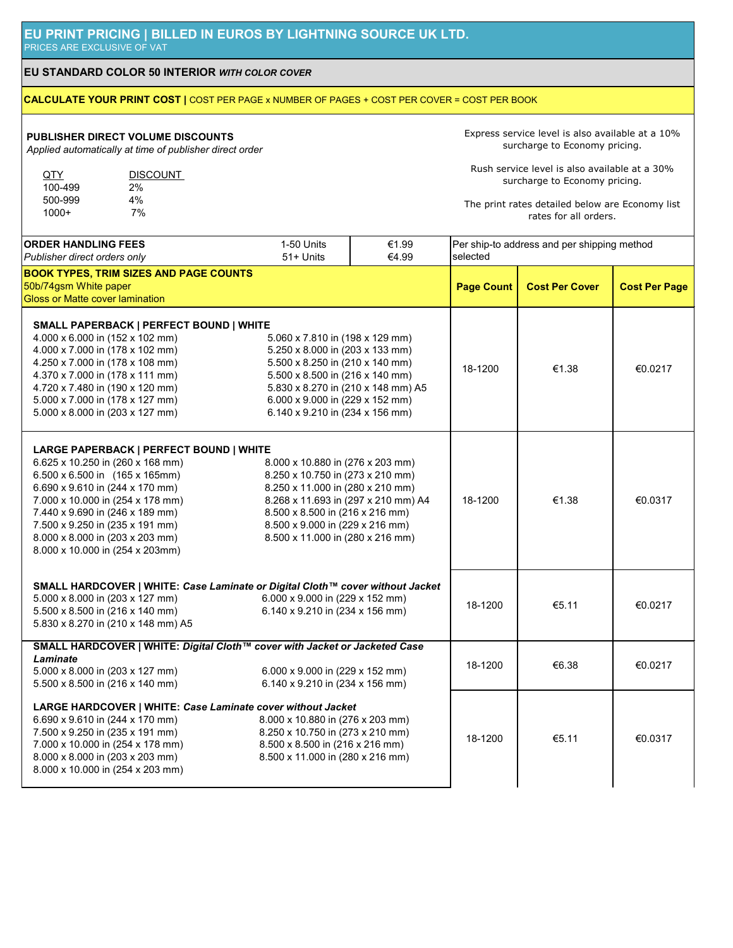### **EU PRINT PRICING | BILLED IN EUROS BY LIGHTNING SOURCE UK LTD.** PRICES ARE EXCLUSIVE OF VAT

#### **EU STANDARD COLOR 50 INTERIOR** *WITH COLOR COVER*

#### **CALCULATE YOUR PRINT COST |** COST PER PAGE x NUMBER OF PAGES + COST PER COVER = COST PER BOOK

#### **PUBLISHER DIRECT VOLUME DISCOUNTS**

QTY DISCOUNT<br>100-499 2%

 100-499 2% 500-999 4%

 $1000+$ 

*Applied automatically at time of publisher direct order*

Express service level is also available at a 10% surcharge to Economy pricing.

Rush service level is also available at a 30% surcharge to Economy pricing.

| <b>IORDER HANDLING FEES</b><br>Publisher direct orders only                   | 1-50 Units<br>51+ Units                                               | €1.99<br>€4.99 | selected          | Per ship-to address and per shipping method |                      |
|-------------------------------------------------------------------------------|-----------------------------------------------------------------------|----------------|-------------------|---------------------------------------------|----------------------|
| <b>BOOK TYPES, TRIM SIZES AND PAGE COUNTS</b>                                 |                                                                       |                |                   |                                             |                      |
| 50b/74gsm White paper                                                         |                                                                       |                | <b>Page Count</b> | <b>Cost Per Cover</b>                       | <b>Cost Per Page</b> |
| <b>Gloss or Matte cover lamination</b>                                        |                                                                       |                |                   |                                             |                      |
| SMALL PAPERBACK   PERFECT BOUND   WHITE<br>4.000 x 6.000 in (152 x 102 mm)    | 5.060 x 7.810 in (198 x 129 mm)                                       |                |                   |                                             |                      |
| 4.000 x 7.000 in (178 x 102 mm)                                               | 5.250 x 8.000 in (203 x 133 mm)                                       |                |                   |                                             |                      |
| 4.250 x 7.000 in (178 x 108 mm)                                               | 5.500 x 8.250 in (210 x 140 mm)                                       |                |                   |                                             |                      |
| 4.370 x 7.000 in (178 x 111 mm)                                               |                                                                       |                | 18-1200           | €1.38                                       | €0.0217              |
| 4.720 x 7.480 in (190 x 120 mm)                                               | 5.500 x 8.500 in (216 x 140 mm)<br>5.830 x 8.270 in (210 x 148 mm) A5 |                |                   |                                             |                      |
| 5.000 x 7.000 in (178 x 127 mm)                                               | 6.000 x 9.000 in (229 x 152 mm)                                       |                |                   |                                             |                      |
| 5.000 x 8.000 in (203 x 127 mm)                                               | 6.140 x 9.210 in (234 x 156 mm)                                       |                |                   |                                             |                      |
|                                                                               |                                                                       |                |                   |                                             |                      |
| LARGE PAPERBACK   PERFECT BOUND   WHITE                                       |                                                                       |                |                   |                                             |                      |
| 6.625 x 10.250 in (260 x 168 mm)                                              | 8.000 x 10.880 in (276 x 203 mm)                                      |                |                   |                                             |                      |
| $6.500 \times 6.500$ in $(165 \times 165$ mm)                                 | 8.250 x 10.750 in (273 x 210 mm)                                      |                |                   |                                             |                      |
| 6.690 x 9.610 in (244 x 170 mm)                                               | 8.250 x 11.000 in (280 x 210 mm)                                      |                |                   |                                             |                      |
| 7.000 x 10.000 in (254 x 178 mm)                                              | 8.268 x 11.693 in (297 x 210 mm) A4                                   |                | 18-1200           | €1.38                                       | €0.0317              |
| 7.440 x 9.690 in (246 x 189 mm)                                               | 8.500 x 8.500 in (216 x 216 mm)                                       |                |                   |                                             |                      |
| 7.500 x 9.250 in (235 x 191 mm)                                               | 8.500 x 9.000 in (229 x 216 mm)                                       |                |                   |                                             |                      |
| 8.000 x 8.000 in (203 x 203 mm)                                               | 8.500 x 11.000 in (280 x 216 mm)                                      |                |                   |                                             |                      |
| 8.000 x 10.000 in (254 x 203mm)                                               |                                                                       |                |                   |                                             |                      |
| SMALL HARDCOVER   WHITE: Case Laminate or Digital Cloth™ cover without Jacket |                                                                       |                |                   |                                             |                      |
| 5.000 x 8.000 in (203 x 127 mm)                                               | 6.000 x 9.000 in (229 x 152 mm)                                       |                |                   |                                             |                      |
| 5.500 x 8.500 in (216 x 140 mm)                                               | 6.140 x 9.210 in (234 x 156 mm)                                       |                | 18-1200           | €5.11                                       | €0.0217              |
| 5.830 x 8.270 in (210 x 148 mm) A5                                            |                                                                       |                |                   |                                             |                      |
| SMALL HARDCOVER   WHITE: Digital Cloth™ cover with Jacket or Jacketed Case    |                                                                       |                |                   |                                             |                      |
| <b>Laminate</b>                                                               |                                                                       |                |                   |                                             |                      |
| 5.000 x 8.000 in (203 x 127 mm)                                               | 6.000 x 9.000 in (229 x 152 mm)                                       |                | 18-1200           | €6.38                                       | €0.0217              |
| 5.500 x 8.500 in (216 x 140 mm)                                               | 6.140 x 9.210 in (234 x 156 mm)                                       |                |                   |                                             |                      |
| LARGE HARDCOVER   WHITE: Case Laminate cover without Jacket                   |                                                                       |                |                   |                                             |                      |
| 6.690 x 9.610 in (244 x 170 mm)                                               | 8.000 x 10.880 in (276 x 203 mm)                                      |                |                   |                                             |                      |
| 7.500 x 9.250 in (235 x 191 mm)                                               | 8.250 x 10.750 in (273 x 210 mm)                                      |                |                   |                                             |                      |
| 7.000 x 10.000 in (254 x 178 mm)                                              | 8.500 x 8.500 in (216 x 216 mm)                                       |                | 18-1200           | €5.11                                       | €0.0317              |
| 8.000 x 8.000 in (203 x 203 mm)                                               | 8.500 x 11.000 in (280 x 216 mm)                                      |                |                   |                                             |                      |
| 8.000 x 10.000 in (254 x 203 mm)                                              |                                                                       |                |                   |                                             |                      |
|                                                                               |                                                                       |                |                   |                                             |                      |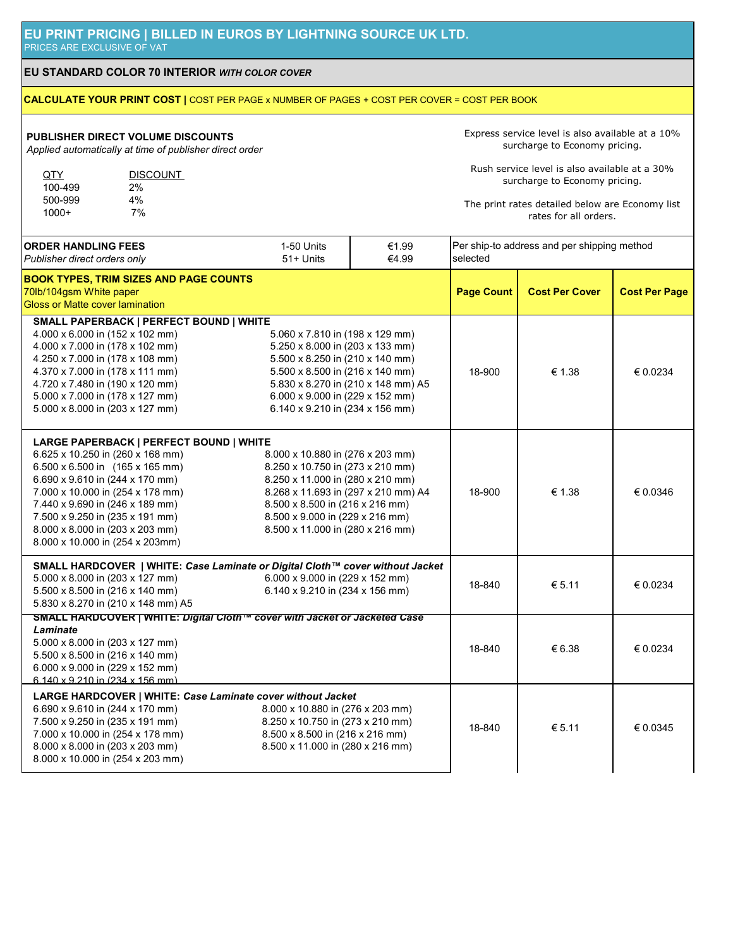### **EU PRINT PRICING | BILLED IN EUROS BY LIGHTNING SOURCE UK LTD.** PRICES ARE EXCLUSIVE OF VAT

#### **EU STANDARD COLOR 70 INTERIOR** *WITH COLOR COVER*

#### **CALCULATE YOUR PRINT COST |** COST PER PAGE x NUMBER OF PAGES + COST PER COVER = COST PER BOOK

#### **PUBLISHER DIRECT VOLUME DISCOUNTS**

QTY DISCOUNT<br>100-499 2%

 100-499 2% 500-999 4%

 $1000+$ 

*Applied automatically at time of publisher direct order*

Express service level is also available at a 10% surcharge to Economy pricing.

Rush service level is also available at a 30% surcharge to Economy pricing.

| <b>ORDER HANDLING FEES</b><br>Publisher direct orders only                                                                                                                                                                                                                                                                        | 1-50 Units<br>€1.99<br>€4.99<br>51+ Units                                                                                                                                                                                                                 |  | Per ship-to address and per shipping method<br>selected |                       |                      |
|-----------------------------------------------------------------------------------------------------------------------------------------------------------------------------------------------------------------------------------------------------------------------------------------------------------------------------------|-----------------------------------------------------------------------------------------------------------------------------------------------------------------------------------------------------------------------------------------------------------|--|---------------------------------------------------------|-----------------------|----------------------|
| <b>BOOK TYPES, TRIM SIZES AND PAGE COUNTS</b><br>70lb/104gsm White paper<br><b>Gloss or Matte cover lamination</b>                                                                                                                                                                                                                |                                                                                                                                                                                                                                                           |  | <b>Page Count</b>                                       | <b>Cost Per Cover</b> | <b>Cost Per Page</b> |
| SMALL PAPERBACK   PERFECT BOUND   WHITE<br>4.000 x 6.000 in (152 x 102 mm)<br>4.000 x 7.000 in (178 x 102 mm)<br>4.250 x 7.000 in (178 x 108 mm)<br>4.370 x 7.000 in (178 x 111 mm)<br>4.720 x 7.480 in (190 x 120 mm)<br>5.000 x 7.000 in (178 x 127 mm)<br>5.000 x 8.000 in (203 x 127 mm)                                      | 5.060 x 7.810 in (198 x 129 mm)<br>5.250 x 8.000 in (203 x 133 mm)<br>5.500 x 8.250 in (210 x 140 mm)<br>5.500 x 8.500 in (216 x 140 mm)<br>5.830 x 8.270 in (210 x 148 mm) A5<br>6.000 x 9.000 in (229 x 152 mm)<br>6.140 x 9.210 in (234 x 156 mm)      |  | 18-900                                                  | € 1.38                | € 0.0234             |
| LARGE PAPERBACK   PERFECT BOUND   WHITE<br>6.625 x 10.250 in (260 x 168 mm)<br>6.500 x 6.500 in (165 x 165 mm)<br>6.690 x 9.610 in (244 x 170 mm)<br>7.000 x 10.000 in (254 x 178 mm)<br>7.440 x 9.690 in (246 x 189 mm)<br>7.500 x 9.250 in (235 x 191 mm)<br>8.000 x 8.000 in (203 x 203 mm)<br>8.000 x 10.000 in (254 x 203mm) | 8.000 x 10.880 in (276 x 203 mm)<br>8.250 x 10.750 in (273 x 210 mm)<br>8.250 x 11.000 in (280 x 210 mm)<br>8.268 x 11.693 in (297 x 210 mm) A4<br>8.500 x 8.500 in (216 x 216 mm)<br>8.500 x 9.000 in (229 x 216 mm)<br>8.500 x 11.000 in (280 x 216 mm) |  | 18-900                                                  | € 1.38                | € 0.0346             |
| SMALL HARDCOVER   WHITE: Case Laminate or Digital Cloth™ cover without Jacket<br>5.000 x 8.000 in (203 x 127 mm)<br>5.500 x 8.500 in (216 x 140 mm)<br>5.830 x 8.270 in (210 x 148 mm) A5                                                                                                                                         | 6.000 x 9.000 in (229 x 152 mm)<br>6.140 x 9.210 in (234 x 156 mm)                                                                                                                                                                                        |  | 18-840                                                  | € 5.11                | € 0.0234             |
| SMALL HARDCOVER   WHITE: Digital Cloth™ cover with Jacket or Jacketed Case<br><b>Laminate</b><br>$5.000 \times 8.000$ in (203 x 127 mm)<br>5.500 x 8.500 in (216 x 140 mm)<br>6.000 x 9.000 in (229 x 152 mm)<br>$6.140 \times 9.210$ in (234 x 156 mm)                                                                           |                                                                                                                                                                                                                                                           |  | 18-840                                                  | € 6.38                | € 0.0234             |
| LARGE HARDCOVER   WHITE: Case Laminate cover without Jacket<br>6.690 x 9.610 in (244 x 170 mm)<br>7.500 x 9.250 in (235 x 191 mm)<br>7.000 x 10.000 in (254 x 178 mm)<br>8.000 x 8.000 in (203 x 203 mm)<br>8.000 x 10.000 in (254 x 203 mm)                                                                                      | 8.000 x 10.880 in (276 x 203 mm)<br>8.250 x 10.750 in (273 x 210 mm)<br>8.500 x 8.500 in (216 x 216 mm)<br>8.500 x 11.000 in (280 x 216 mm)                                                                                                               |  | 18-840                                                  | € 5.11                | € 0.0345             |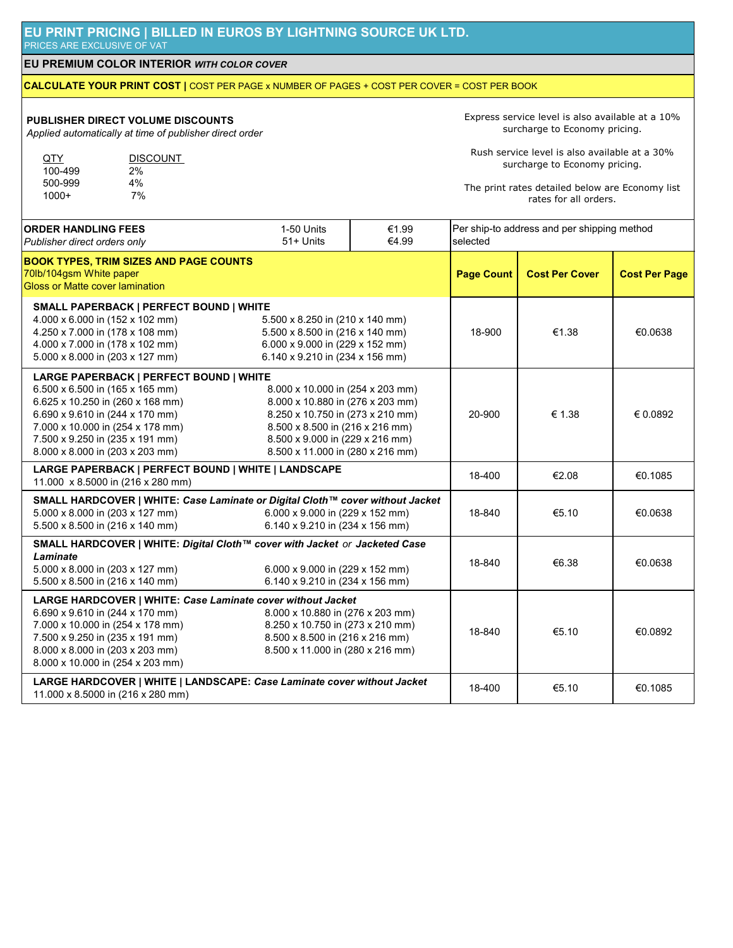#### **EU PRINT PRICING | BILLED IN EUROS BY LIGHTNING SOURCE UK LTD.** PRICES ARE EXCLUSIVE OF VAT

**EU PREMIUM COLOR INTERIOR** *WITH COLOR COVER*

#### **CALCULATE YOUR PRINT COST |** COST PER PAGE x NUMBER OF PAGES + COST PER COVER = COST PER BOOK

#### **PUBLISHER DIRECT VOLUME DISCOUNTS**

QTY<br>100-499 2%

100-499 2%

1000+ 7%

500-999

*Applied automatically at time of publisher direct order*

Express service level is also available at a 10% surcharge to Economy pricing.

Rush service level is also available at a 30% surcharge to Economy pricing.

| <b>ORDER HANDLING FEES</b><br>Publisher direct orders only                                                                                                                                                                                                  | 1-50 Units<br>51+ Units                                                                                                                                                                                            | €1.99<br>€4.99 | Per ship-to address and per shipping method<br>selected |                       |                      |
|-------------------------------------------------------------------------------------------------------------------------------------------------------------------------------------------------------------------------------------------------------------|--------------------------------------------------------------------------------------------------------------------------------------------------------------------------------------------------------------------|----------------|---------------------------------------------------------|-----------------------|----------------------|
| <b>BOOK TYPES, TRIM SIZES AND PAGE COUNTS</b><br>70lb/104gsm White paper<br><b>Gloss or Matte cover lamination</b>                                                                                                                                          |                                                                                                                                                                                                                    |                | <b>Page Count</b>                                       | <b>Cost Per Cover</b> | <b>Cost Per Page</b> |
| SMALL PAPERBACK   PERFECT BOUND   WHITE<br>4.000 x 6.000 in (152 x 102 mm)<br>4.250 x 7.000 in (178 x 108 mm)<br>4.000 x 7.000 in (178 x 102 mm)<br>5.000 x 8.000 in (203 x 127 mm)                                                                         | 5.500 x 8.250 in (210 x 140 mm)<br>5.500 x 8.500 in (216 x 140 mm)<br>6.000 x 9.000 in (229 x 152 mm)<br>6.140 x 9.210 in (234 x 156 mm)                                                                           |                | 18-900                                                  | €1.38                 | €0.0638              |
| LARGE PAPERBACK   PERFECT BOUND   WHITE<br>6.500 x 6.500 in (165 x 165 mm)<br>6.625 x 10.250 in (260 x 168 mm)<br>6.690 x 9.610 in (244 x 170 mm)<br>7.000 x 10.000 in (254 x 178 mm)<br>7.500 x 9.250 in (235 x 191 mm)<br>8.000 x 8.000 in (203 x 203 mm) | 8.000 x 10.000 in (254 x 203 mm)<br>8.000 x 10.880 in (276 x 203 mm)<br>8.250 x 10.750 in (273 x 210 mm)<br>8.500 x 8.500 in (216 x 216 mm)<br>8.500 x 9.000 in (229 x 216 mm)<br>8.500 x 11.000 in (280 x 216 mm) |                | 20-900                                                  | € 1.38                | € 0.0892             |
| LARGE PAPERBACK   PERFECT BOUND   WHITE   LANDSCAPE<br>11.000 x 8.5000 in (216 x 280 mm)                                                                                                                                                                    |                                                                                                                                                                                                                    | 18-400         | €2.08                                                   | €0.1085               |                      |
| SMALL HARDCOVER   WHITE: Case Laminate or Digital Cloth™ cover without Jacket<br>5.000 x 8.000 in (203 x 127 mm)<br>5.500 x 8.500 in (216 x 140 mm)                                                                                                         | 6.000 x 9.000 in (229 x 152 mm)<br>6.140 x 9.210 in (234 x 156 mm)                                                                                                                                                 |                | 18-840                                                  | €5.10                 | €0.0638              |
| SMALL HARDCOVER   WHITE: Digital Cloth™ cover with Jacket or Jacketed Case<br>Laminate<br>$5.000 \times 8.000$ in (203 x 127 mm)<br>5.500 x 8.500 in (216 x 140 mm)                                                                                         | 6.000 x 9.000 in (229 x 152 mm)<br>6.140 x 9.210 in (234 x 156 mm)                                                                                                                                                 |                | 18-840                                                  | €6.38                 | €0.0638              |
| LARGE HARDCOVER   WHITE: Case Laminate cover without Jacket<br>6.690 x 9.610 in (244 x 170 mm)<br>7.000 x 10.000 in (254 x 178 mm)<br>7.500 x 9.250 in (235 x 191 mm)<br>8.000 x 8.000 in (203 x 203 mm)<br>8.000 x 10.000 in (254 x 203 mm)                | 8.000 x 10.880 in (276 x 203 mm)<br>8.250 x 10.750 in (273 x 210 mm)<br>8.500 x 8.500 in (216 x 216 mm)<br>8.500 x 11.000 in (280 x 216 mm)                                                                        |                | 18-840                                                  | €5.10                 | €0.0892              |
| LARGE HARDCOVER   WHITE   LANDSCAPE: Case Laminate cover without Jacket<br>11.000 x 8.5000 in (216 x 280 mm)                                                                                                                                                |                                                                                                                                                                                                                    |                | 18-400                                                  | €5.10                 | €0.1085              |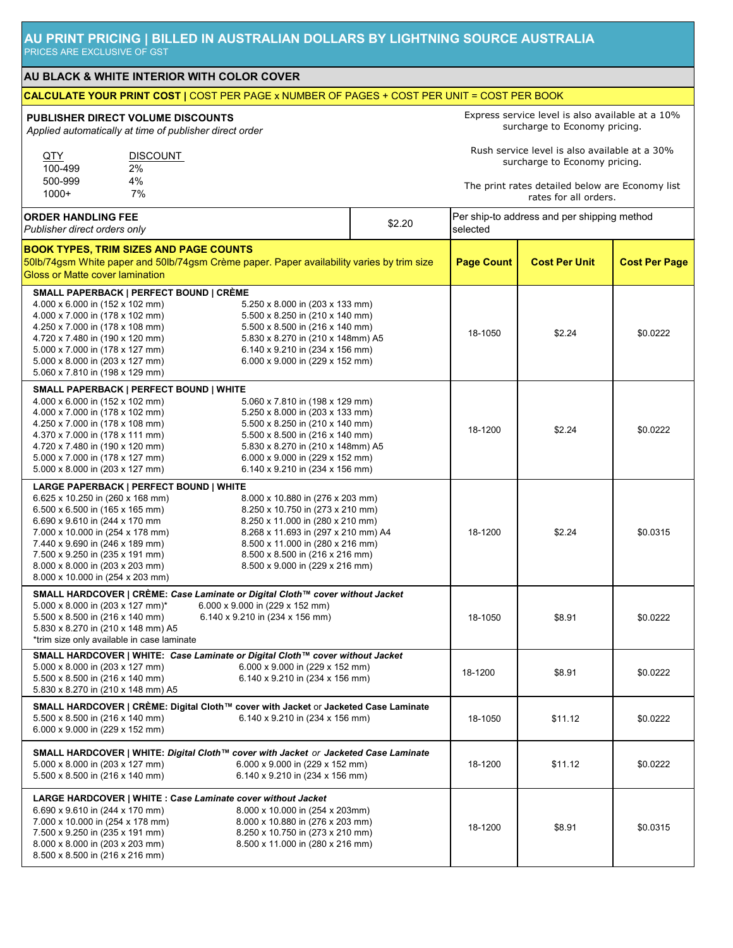| AU PRINT PRICING   BILLED IN AUSTRALIAN DOLLARS BY LIGHTNING SOURCE AUSTRALIA<br>PRICES ARE EXCLUSIVE OF GST                                                                                                                                                                                                                                                                                                                                                                                                                                                                                   |                                                                                                                                                                                                                                                     |                   |                                                                                   |                      |  |  |
|------------------------------------------------------------------------------------------------------------------------------------------------------------------------------------------------------------------------------------------------------------------------------------------------------------------------------------------------------------------------------------------------------------------------------------------------------------------------------------------------------------------------------------------------------------------------------------------------|-----------------------------------------------------------------------------------------------------------------------------------------------------------------------------------------------------------------------------------------------------|-------------------|-----------------------------------------------------------------------------------|----------------------|--|--|
| AU BLACK & WHITE INTERIOR WITH COLOR COVER                                                                                                                                                                                                                                                                                                                                                                                                                                                                                                                                                     |                                                                                                                                                                                                                                                     |                   |                                                                                   |                      |  |  |
| <b>CALCULATE YOUR PRINT COST   COST PER PAGE x NUMBER OF PAGES + COST PER UNIT = COST PER BOOK</b>                                                                                                                                                                                                                                                                                                                                                                                                                                                                                             |                                                                                                                                                                                                                                                     |                   |                                                                                   |                      |  |  |
| <b>PUBLISHER DIRECT VOLUME DISCOUNTS</b><br>Applied automatically at time of publisher direct order                                                                                                                                                                                                                                                                                                                                                                                                                                                                                            |                                                                                                                                                                                                                                                     |                   | Express service level is also available at a 10%<br>surcharge to Economy pricing. |                      |  |  |
| <b>DISCOUNT</b><br>QTY<br>100-499<br>2%                                                                                                                                                                                                                                                                                                                                                                                                                                                                                                                                                        |                                                                                                                                                                                                                                                     |                   | Rush service level is also available at a 30%<br>surcharge to Economy pricing.    |                      |  |  |
| 4%<br>500-999<br>$1000+$<br>7%                                                                                                                                                                                                                                                                                                                                                                                                                                                                                                                                                                 |                                                                                                                                                                                                                                                     |                   | The print rates detailed below are Economy list<br>rates for all orders.          |                      |  |  |
| <b>ORDER HANDLING FEE</b><br>Publisher direct orders only                                                                                                                                                                                                                                                                                                                                                                                                                                                                                                                                      | \$2.20                                                                                                                                                                                                                                              | selected          | Per ship-to address and per shipping method                                       |                      |  |  |
| <b>BOOK TYPES, TRIM SIZES AND PAGE COUNTS</b><br>50lb/74gsm White paper and 50lb/74gsm Crème paper. Paper availability varies by trim size<br><b>Gloss or Matte cover lamination</b>                                                                                                                                                                                                                                                                                                                                                                                                           |                                                                                                                                                                                                                                                     | <b>Page Count</b> | <b>Cost Per Unit</b>                                                              | <b>Cost Per Page</b> |  |  |
| SMALL PAPERBACK   PERFECT BOUND   CRÈME<br>4.000 x 6.000 in (152 x 102 mm)<br>5.250 x 8.000 in (203 x 133 mm)<br>4.000 x 7.000 in (178 x 102 mm)<br>5.500 x 8.250 in (210 x 140 mm)<br>5.500 x 8.500 in (216 x 140 mm)<br>4.250 x 7.000 in (178 x 108 mm)<br>5.830 x 8.270 in (210 x 148mm) A5<br>4.720 x 7.480 in (190 x 120 mm)<br>5.000 x 7.000 in (178 x 127 mm)<br>6.140 x 9.210 in (234 x 156 mm)<br>5.000 x 8.000 in (203 x 127 mm)<br>6.000 x 9.000 in (229 x 152 mm)<br>5.060 x 7.810 in (198 x 129 mm)                                                                               |                                                                                                                                                                                                                                                     | 18-1050           | \$2.24                                                                            | \$0.0222             |  |  |
| SMALL PAPERBACK   PERFECT BOUND   WHITE<br>4.000 x 6.000 in (152 x 102 mm)<br>4.000 x 7.000 in (178 x 102 mm)<br>4.250 x 7.000 in (178 x 108 mm)<br>4.370 x 7.000 in (178 x 111 mm)<br>4.720 x 7.480 in (190 x 120 mm)<br>5.000 x 7.000 in (178 x 127 mm)<br>5.000 x 8.000 in (203 x 127 mm)                                                                                                                                                                                                                                                                                                   | 5.060 x 7.810 in (198 x 129 mm)<br>5.250 x 8.000 in (203 x 133 mm)<br>5.500 x 8.250 in (210 x 140 mm)<br>5.500 x 8.500 in (216 x 140 mm)<br>5.830 x 8.270 in (210 x 148mm) A5<br>6.000 x 9.000 in (229 x 152 mm)<br>6.140 x 9.210 in (234 x 156 mm) |                   | \$2.24                                                                            | \$0.0222             |  |  |
| LARGE PAPERBACK   PERFECT BOUND   WHITE<br>6.625 x 10.250 in (260 x 168 mm)<br>8.000 x 10.880 in (276 x 203 mm)<br>6.500 x 6.500 in (165 x 165 mm)<br>8.250 x 10.750 in (273 x 210 mm)<br>6.690 x 9.610 in (244 x 170 mm<br>8.250 x 11.000 in (280 x 210 mm)<br>7.000 x 10.000 in (254 x 178 mm)<br>8.268 x 11.693 in (297 x 210 mm) A4<br>8.500 x 11.000 in (280 x 216 mm)<br>7.440 x 9.690 in (246 x 189 mm)<br>7.500 x 9.250 in (235 x 191 mm)<br>8.500 x 8.500 in (216 x 216 mm)<br>8.000 x 8.000 in (203 x 203 mm)<br>8.500 x 9.000 in (229 x 216 mm)<br>8.000 x 10.000 in (254 x 203 mm) |                                                                                                                                                                                                                                                     | 18-1200           | \$2.24                                                                            | \$0.0315             |  |  |
| SMALL HARDCOVER   CRÈME: Case Laminate or Digital Cloth™ cover without Jacket<br>6.000 x 9.000 in (229 x 152 mm)<br>5.000 x 8.000 in (203 x 127 mm)*<br>6.140 x 9.210 in (234 x 156 mm)<br>5.500 x 8.500 in (216 x 140 mm)<br>5.830 x 8.270 in (210 x 148 mm) A5<br>*trim size only available in case laminate                                                                                                                                                                                                                                                                                 |                                                                                                                                                                                                                                                     | 18-1050           | \$8.91                                                                            | \$0.0222             |  |  |
| SMALL HARDCOVER   WHITE: Case Laminate or Digital Cloth™ cover without Jacket<br>5.000 x 8.000 in (203 x 127 mm)<br>6.000 x 9.000 in (229 x 152 mm)<br>5.500 x 8.500 in (216 x 140 mm)<br>6.140 x 9.210 in (234 x 156 mm)<br>5.830 x 8.270 in (210 x 148 mm) A5                                                                                                                                                                                                                                                                                                                                |                                                                                                                                                                                                                                                     | 18-1200           | \$8.91                                                                            | \$0.0222             |  |  |
| 5.500 x 8.500 in (216 x 140 mm)<br>6.000 x 9.000 in (229 x 152 mm)                                                                                                                                                                                                                                                                                                                                                                                                                                                                                                                             | SMALL HARDCOVER   CRÈME: Digital Cloth™ cover with Jacket or Jacketed Case Laminate<br>6.140 x 9.210 in (234 x 156 mm)                                                                                                                              |                   | \$11.12                                                                           | \$0.0222             |  |  |
| SMALL HARDCOVER   WHITE: Digital Cloth™ cover with Jacket or Jacketed Case Laminate<br>5.000 x 8.000 in (203 x 127 mm)<br>6.000 x 9.000 in (229 x 152 mm)<br>6.140 x 9.210 in (234 x 156 mm)<br>5.500 x 8.500 in (216 x 140 mm)                                                                                                                                                                                                                                                                                                                                                                |                                                                                                                                                                                                                                                     | 18-1200           | \$11.12                                                                           | \$0.0222             |  |  |
| LARGE HARDCOVER   WHITE : Case Laminate cover without Jacket<br>6.690 x 9.610 in (244 x 170 mm)<br>8.000 x 10.000 in (254 x 203mm)<br>7.000 x 10.000 in (254 x 178 mm)<br>8.000 x 10.880 in (276 x 203 mm)<br>7.500 x 9.250 in (235 x 191 mm)<br>8.250 x 10.750 in (273 x 210 mm)<br>8.000 x 8.000 in (203 x 203 mm)<br>8.500 x 11.000 in (280 x 216 mm)<br>8.500 x 8.500 in (216 x 216 mm)                                                                                                                                                                                                    |                                                                                                                                                                                                                                                     | 18-1200           | \$8.91                                                                            | \$0.0315             |  |  |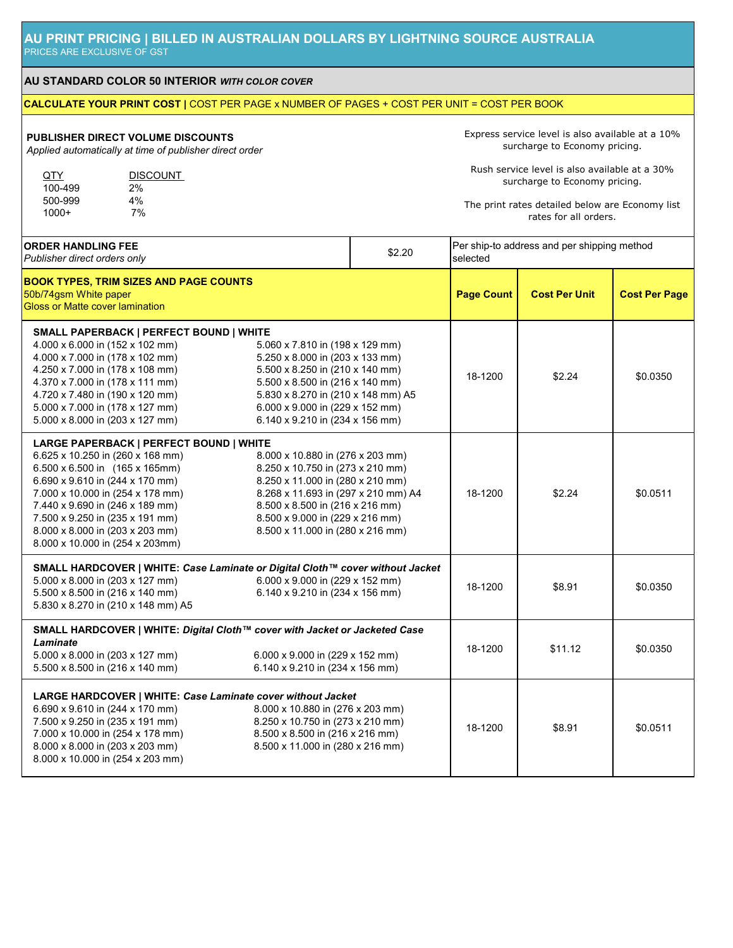#### **AU PRINT PRICING | BILLED IN AUSTRALIAN DOLLARS BY LIGHTNING SOURCE AUSTRALIA** PRICES ARE EXCLUSIVE OF GST

#### **AU STANDARD COLOR 50 INTERIOR** *WITH COLOR COVER*

#### **CALCULATE YOUR PRINT COST |** COST PER PAGE x NUMBER OF PAGES + COST PER UNIT = COST PER BOOK

#### **PUBLISHER DIRECT VOLUME DISCOUNTS**

<u>QTY</u><br>100-499 2%

 100-499 2% 500-999 4%

 $1000+$ 

*Applied automatically at time of publisher direct order*

Express service level is also available at a 10% surcharge to Economy pricing.

Rush service level is also available at a 30% surcharge to Economy pricing.

| <b>ORDER HANDLING FEE</b><br>Publisher direct orders only                                                                                                                                                                                                                                                                        | \$2.20                                                                                                                                                                                                                                                    |  | Per ship-to address and per shipping method<br>selected |                      |                      |
|----------------------------------------------------------------------------------------------------------------------------------------------------------------------------------------------------------------------------------------------------------------------------------------------------------------------------------|-----------------------------------------------------------------------------------------------------------------------------------------------------------------------------------------------------------------------------------------------------------|--|---------------------------------------------------------|----------------------|----------------------|
| <b>BOOK TYPES, TRIM SIZES AND PAGE COUNTS</b><br>50b/74gsm White paper<br><b>Gloss or Matte cover lamination</b>                                                                                                                                                                                                                 |                                                                                                                                                                                                                                                           |  | <b>Page Count</b>                                       | <b>Cost Per Unit</b> | <b>Cost Per Page</b> |
| SMALL PAPERBACK   PERFECT BOUND   WHITE<br>4.000 x 6.000 in (152 x 102 mm)<br>4.000 x 7.000 in (178 x 102 mm)<br>4.250 x 7.000 in (178 x 108 mm)<br>4.370 x 7.000 in (178 x 111 mm)<br>4.720 x 7.480 in (190 x 120 mm)<br>5.000 x 7.000 in (178 x 127 mm)<br>5.000 x 8.000 in (203 x 127 mm)                                     | 5.060 x 7.810 in (198 x 129 mm)<br>5.250 x 8.000 in (203 x 133 mm)<br>5.500 x 8.250 in (210 x 140 mm)<br>5.500 x 8.500 in (216 x 140 mm)<br>5.830 x 8.270 in (210 x 148 mm) A5<br>6.000 x 9.000 in (229 x 152 mm)<br>6.140 x 9.210 in (234 x 156 mm)      |  | 18-1200                                                 | \$2.24               | \$0.0350             |
| LARGE PAPERBACK   PERFECT BOUND   WHITE<br>6.625 x 10.250 in (260 x 168 mm)<br>6.500 x 6.500 in (165 x 165mm)<br>6.690 x 9.610 in (244 x 170 mm)<br>7.000 x 10.000 in (254 x 178 mm)<br>7.440 x 9.690 in (246 x 189 mm)<br>7.500 x 9.250 in (235 x 191 mm)<br>8.000 x 8.000 in (203 x 203 mm)<br>8.000 x 10.000 in (254 x 203mm) | 8.000 x 10.880 in (276 x 203 mm)<br>8.250 x 10.750 in (273 x 210 mm)<br>8.250 x 11.000 in (280 x 210 mm)<br>8.268 x 11.693 in (297 x 210 mm) A4<br>8.500 x 8.500 in (216 x 216 mm)<br>8.500 x 9.000 in (229 x 216 mm)<br>8.500 x 11.000 in (280 x 216 mm) |  | 18-1200                                                 | \$2.24               | \$0.0511             |
| SMALL HARDCOVER   WHITE: Case Laminate or Digital Cloth™ cover without Jacket<br>5.000 x 8.000 in (203 x 127 mm)<br>5.500 x 8.500 in (216 x 140 mm)<br>5.830 x 8.270 in (210 x 148 mm) A5                                                                                                                                        | 6.000 x 9.000 in (229 x 152 mm)<br>6.140 x 9.210 in (234 x 156 mm)                                                                                                                                                                                        |  | 18-1200                                                 | \$8.91               | \$0.0350             |
| SMALL HARDCOVER   WHITE: Digital Cloth™ cover with Jacket or Jacketed Case<br>Laminate<br>5.000 x 8.000 in (203 x 127 mm)<br>5.500 x 8.500 in (216 x 140 mm)                                                                                                                                                                     | 6.000 x 9.000 in (229 x 152 mm)<br>6.140 x 9.210 in (234 x 156 mm)                                                                                                                                                                                        |  | 18-1200                                                 | \$11.12              | \$0.0350             |
| LARGE HARDCOVER   WHITE: Case Laminate cover without Jacket<br>6.690 x 9.610 in (244 x 170 mm)<br>7.500 x 9.250 in (235 x 191 mm)<br>7.000 x 10.000 in (254 x 178 mm)<br>8.000 x 8.000 in (203 x 203 mm)<br>8.000 x 10.000 in (254 x 203 mm)                                                                                     | 8.000 x 10.880 in (276 x 203 mm)<br>8.250 x 10.750 in (273 x 210 mm)<br>8.500 x 8.500 in (216 x 216 mm)<br>8.500 x 11.000 in (280 x 216 mm)                                                                                                               |  | 18-1200                                                 | \$8.91               | \$0.0511             |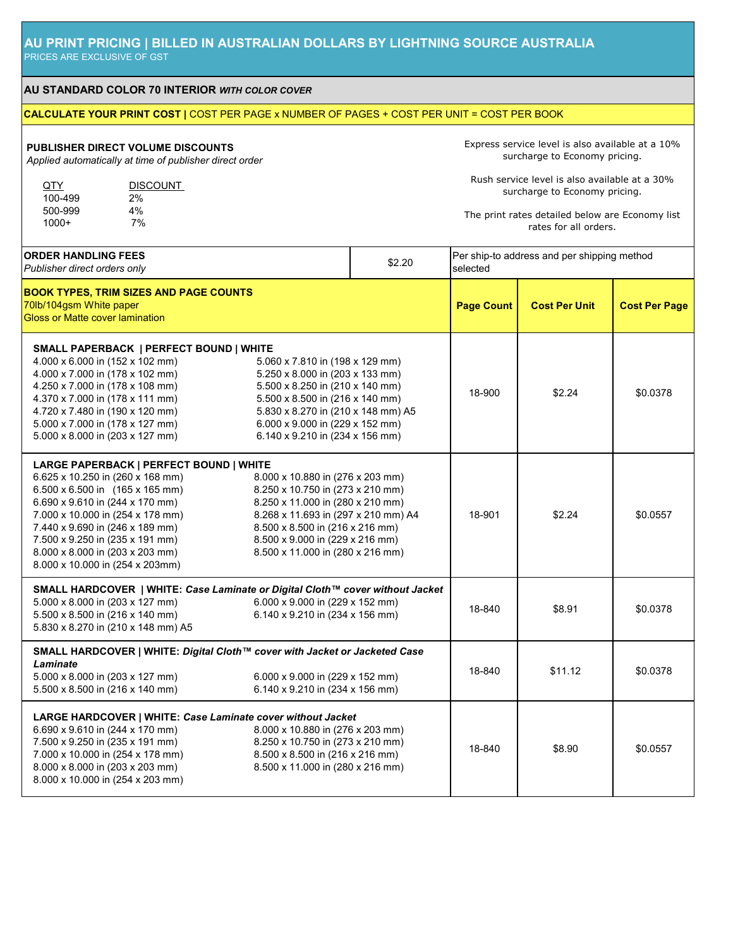#### **AU PRINT PRICING | BILLED IN AUSTRALIAN DOLLARS BY LIGHTNING SOURCE AUSTRALIA** PRICES ARE EXCLUSIVE OF GST

#### **AU STANDARD COLOR 70 INTERIOR** *WITH COLOR COVER*

#### **CALCULATE YOUR PRINT COST |** COST PER PAGE x NUMBER OF PAGES + COST PER UNIT = COST PER BOOK

#### **PUBLISHER DIRECT VOLUME DISCOUNTS**

QTY DISCOUNT<br>100-499 2%

 100-499 2% 500-999 4%

 $1000+$ 

*Applied automatically at time of publisher direct order*

Express service level is also available at a 10% surcharge to Economy pricing.

Rush service level is also available at a 30% surcharge to Economy pricing.

| <b>ORDER HANDLING FEES</b><br>Publisher direct orders only                                                                                                                                                                                                                                                                                      |                                                                                                                                                                                                                                                           | \$2.20 | selected          | Per ship-to address and per shipping method |                      |
|-------------------------------------------------------------------------------------------------------------------------------------------------------------------------------------------------------------------------------------------------------------------------------------------------------------------------------------------------|-----------------------------------------------------------------------------------------------------------------------------------------------------------------------------------------------------------------------------------------------------------|--------|-------------------|---------------------------------------------|----------------------|
| <b>BOOK TYPES, TRIM SIZES AND PAGE COUNTS</b><br>70lb/104gsm White paper<br><b>Gloss or Matte cover lamination</b>                                                                                                                                                                                                                              |                                                                                                                                                                                                                                                           |        | <b>Page Count</b> | <b>Cost Per Unit</b>                        | <b>Cost Per Page</b> |
| SMALL PAPERBACK   PERFECT BOUND   WHITE<br>4.000 x 6.000 in (152 x 102 mm)<br>4.000 x 7.000 in (178 x 102 mm)<br>4.250 x 7.000 in (178 x 108 mm)<br>4.370 x 7.000 in (178 x 111 mm)<br>4.720 x 7.480 in (190 x 120 mm)<br>5.000 x 7.000 in (178 x 127 mm)<br>5.000 x 8.000 in (203 x 127 mm)                                                    | 5.060 x 7.810 in (198 x 129 mm)<br>5.250 x 8.000 in (203 x 133 mm)<br>5.500 x 8.250 in (210 x 140 mm)<br>5.500 x 8.500 in (216 x 140 mm)<br>5.830 x 8.270 in (210 x 148 mm) A5<br>6.000 x 9.000 in (229 x 152 mm)<br>6.140 x 9.210 in (234 x 156 mm)      |        | 18-900            | \$2.24                                      | \$0.0378             |
| LARGE PAPERBACK   PERFECT BOUND   WHITE<br>6.625 x 10.250 in (260 x 168 mm)<br>$6.500 \times 6.500$ in $(165 \times 165$ mm)<br>6.690 x 9.610 in (244 x 170 mm)<br>7.000 x 10.000 in (254 x 178 mm)<br>7.440 x 9.690 in (246 x 189 mm)<br>7.500 x 9.250 in (235 x 191 mm)<br>8.000 x 8.000 in (203 x 203 mm)<br>8.000 x 10.000 in (254 x 203mm) | 8.000 x 10.880 in (276 x 203 mm)<br>8.250 x 10.750 in (273 x 210 mm)<br>8.250 x 11.000 in (280 x 210 mm)<br>8.268 x 11.693 in (297 x 210 mm) A4<br>8.500 x 8.500 in (216 x 216 mm)<br>8.500 x 9.000 in (229 x 216 mm)<br>8.500 x 11.000 in (280 x 216 mm) |        | 18-901            | \$2.24                                      | \$0.0557             |
| SMALL HARDCOVER   WHITE: Case Laminate or Digital Cloth™ cover without Jacket<br>5.000 x 8.000 in (203 x 127 mm)<br>5.500 x 8.500 in (216 x 140 mm)<br>5.830 x 8.270 in (210 x 148 mm) A5                                                                                                                                                       | 6.000 x 9.000 in (229 x 152 mm)<br>6.140 x 9.210 in (234 x 156 mm)                                                                                                                                                                                        |        | 18-840            | \$8.91                                      | \$0.0378             |
| SMALL HARDCOVER   WHITE: Digital Cloth™ cover with Jacket or Jacketed Case<br><b>Laminate</b><br>5.000 x 8.000 in (203 x 127 mm)<br>5.500 x 8.500 in (216 x 140 mm)                                                                                                                                                                             | 6.000 x 9.000 in (229 x 152 mm)<br>6.140 x 9.210 in (234 x 156 mm)                                                                                                                                                                                        |        | 18-840            | \$11.12                                     | \$0.0378             |
| LARGE HARDCOVER   WHITE: Case Laminate cover without Jacket<br>6.690 x 9.610 in (244 x 170 mm)<br>7.500 x 9.250 in (235 x 191 mm)<br>7.000 x 10.000 in (254 x 178 mm)<br>8.000 x 8.000 in (203 x 203 mm)<br>8.000 x 10.000 in (254 x 203 mm)                                                                                                    | 8.000 x 10.880 in (276 x 203 mm)<br>8.250 x 10.750 in (273 x 210 mm)<br>8.500 x 8.500 in (216 x 216 mm)<br>8.500 x 11.000 in (280 x 216 mm)                                                                                                               |        | 18-840            | \$8.90                                      | \$0.0557             |